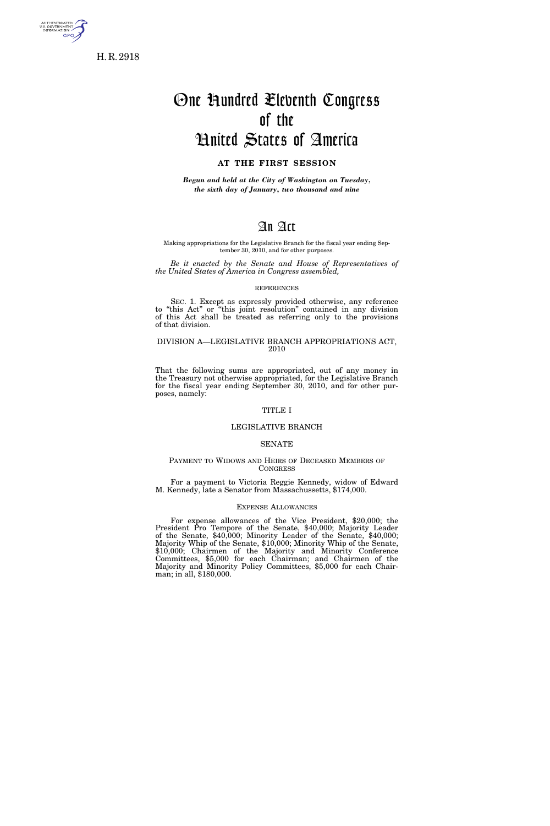

H. R. 2918

# One Hundred Eleventh Congress of the United States of America

# **AT THE FIRST SESSION**

*Begun and held at the City of Washington on Tuesday, the sixth day of January, two thousand and nine* 

# An Act

Making appropriations for the Legislative Branch for the fiscal year ending September 30, 2010, and for other purposes.

*Be it enacted by the Senate and House of Representatives of the United States of America in Congress assembled,* 

#### REFERENCES

SEC. 1. Except as expressly provided otherwise, any reference to "this Act" or "this joint resolution" contained in any division of this Act shall be treated as referring only to the provisions of that division.

# DIVISION A—LEGISLATIVE BRANCH APPROPRIATIONS ACT, 2010

That the following sums are appropriated, out of any money in the Treasury not otherwise appropriated, for the Legislative Branch for the fiscal year ending September 30, 2010, and for other purposes, namely:

# TITLE I

# LEGISLATIVE BRANCH

# SENATE

# PAYMENT TO WIDOWS AND HEIRS OF DECEASED MEMBERS OF **CONGRESS**

For a payment to Victoria Reggie Kennedy, widow of Edward M. Kennedy, late a Senator from Massachussetts, \$174,000.

# EXPENSE ALLOWANCES

For expense allowances of the Vice President, \$20,000; the President Pro Tempore of the Senate, \$40,000; Majority Leader of the Senate, \$40,000; Minority Leader of the Senate, \$40,000; Majority Whip of the Senate, \$10,000; Minority Whip of the Senate, \$10,000; Chairmen of the Majority and Minority Conference Committees, \$5,000 for each Chairman; and Chairmen of the Majority and Minority Policy Committees, \$5,000 for each Chairman; in all, \$180,000.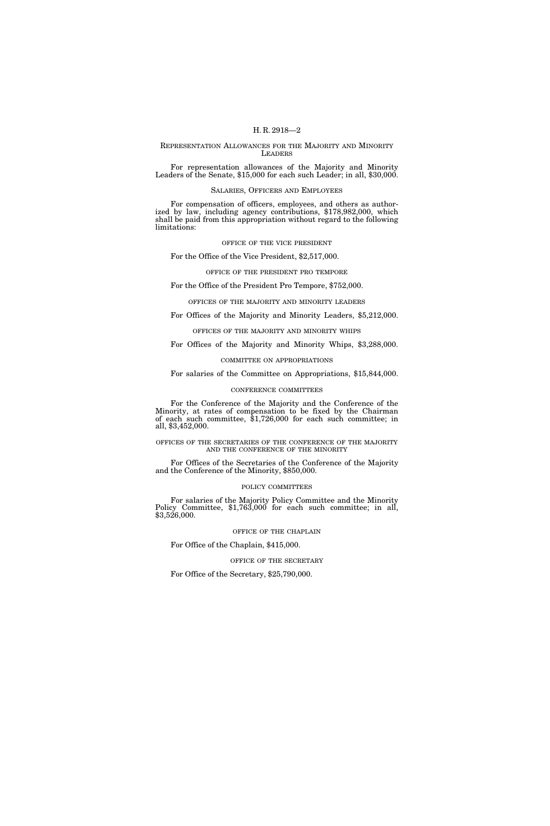# REPRESENTATION ALLOWANCES FOR THE MAJORITY AND MINORITY LEADERS

For representation allowances of the Majority and Minority Leaders of the Senate, \$15,000 for each such Leader; in all, \$30,000.

# SALARIES, OFFICERS AND EMPLOYEES

For compensation of officers, employees, and others as authorized by law, including agency contributions, \$178,982,000, which shall be paid from this appropriation without regard to the following limitations:

#### OFFICE OF THE VICE PRESIDENT

For the Office of the Vice President, \$2,517,000.

#### OFFICE OF THE PRESIDENT PRO TEMPORE

# For the Office of the President Pro Tempore, \$752,000.

# OFFICES OF THE MAJORITY AND MINORITY LEADERS

# For Offices of the Majority and Minority Leaders, \$5,212,000.

# OFFICES OF THE MAJORITY AND MINORITY WHIPS

# For Offices of the Majority and Minority Whips, \$3,288,000.

# COMMITTEE ON APPROPRIATIONS

# For salaries of the Committee on Appropriations, \$15,844,000.

# CONFERENCE COMMITTEES

For the Conference of the Majority and the Conference of the Minority, at rates of compensation to be fixed by the Chairman of each such committee, \$1,726,000 for each such committee; in all, \$3,452,000.

OFFICES OF THE SECRETARIES OF THE CONFERENCE OF THE MAJORITY AND THE CONFERENCE OF THE MINORITY

For Offices of the Secretaries of the Conference of the Majority and the Conference of the Minority, \$850,000.

# POLICY COMMITTEES

For salaries of the Majority Policy Committee and the Minority Policy Committee, \$1,763,000 for each such committee; in all, \$3,526,000.

# OFFICE OF THE CHAPLAIN

# For Office of the Chaplain, \$415,000.

# OFFICE OF THE SECRETARY

For Office of the Secretary, \$25,790,000.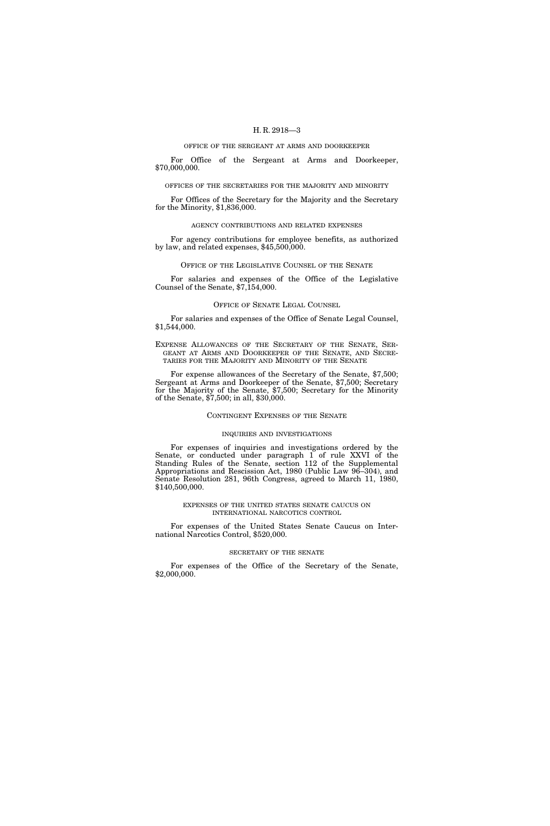#### OFFICE OF THE SERGEANT AT ARMS AND DOORKEEPER

For Office of the Sergeant at Arms and Doorkeeper, \$70,000,000.

OFFICES OF THE SECRETARIES FOR THE MAJORITY AND MINORITY

For Offices of the Secretary for the Majority and the Secretary for the Minority, \$1,836,000.

# AGENCY CONTRIBUTIONS AND RELATED EXPENSES

For agency contributions for employee benefits, as authorized by law, and related expenses, \$45,500,000.

#### OFFICE OF THE LEGISLATIVE COUNSEL OF THE SENATE

For salaries and expenses of the Office of the Legislative Counsel of the Senate, \$7,154,000.

#### OFFICE OF SENATE LEGAL COUNSEL

For salaries and expenses of the Office of Senate Legal Counsel, \$1,544,000.

EXPENSE ALLOWANCES OF THE SECRETARY OF THE SENATE, SER-GEANT AT ARMS AND DOORKEEPER OF THE SENATE, AND SECRE-TARIES FOR THE MAJORITY AND MINORITY OF THE SENATE

For expense allowances of the Secretary of the Senate, \$7,500; Sergeant at Arms and Doorkeeper of the Senate, \$7,500; Secretary for the Majority of the Senate, \$7,500; Secretary for the Minority of the Senate, \$7,500; in all, \$30,000.

# CONTINGENT EXPENSES OF THE SENATE

## INQUIRIES AND INVESTIGATIONS

For expenses of inquiries and investigations ordered by the Senate, or conducted under paragraph 1 of rule XXVI of the Standing Rules of the Senate, section 112 of the Supplemental Appropriations and Rescission Act, 1980 (Public Law 96–304), and Senate Resolution 281, 96th Congress, agreed to March 11, 1980, \$140,500,000.

# EXPENSES OF THE UNITED STATES SENATE CAUCUS ON INTERNATIONAL NARCOTICS CONTROL

For expenses of the United States Senate Caucus on International Narcotics Control, \$520,000.

# SECRETARY OF THE SENATE

For expenses of the Office of the Secretary of the Senate, \$2,000,000.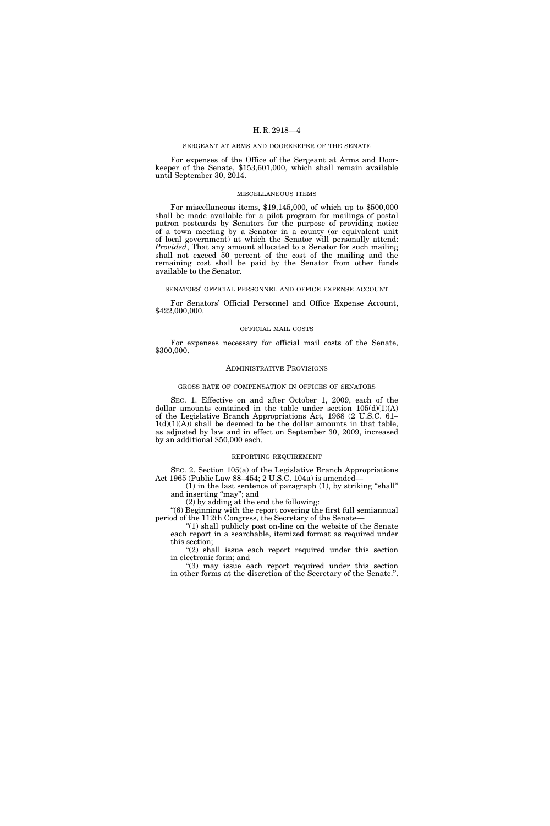#### SERGEANT AT ARMS AND DOORKEEPER OF THE SENATE

For expenses of the Office of the Sergeant at Arms and Doorkeeper of the Senate, \$153,601,000, which shall remain available until September 30, 2014.

#### MISCELLANEOUS ITEMS

For miscellaneous items, \$19,145,000, of which up to \$500,000 shall be made available for a pilot program for mailings of postal patron postcards by Senators for the purpose of providing notice of a town meeting by a Senator in a county (or equivalent unit of local government) at which the Senator will personally attend: *Provided*, That any amount allocated to a Senator for such mailing shall not exceed 50 percent of the cost of the mailing and the remaining cost shall be paid by the Senator from other funds available to the Senator.

#### SENATORS' OFFICIAL PERSONNEL AND OFFICE EXPENSE ACCOUNT

For Senators' Official Personnel and Office Expense Account, \$422,000,000.

#### OFFICIAL MAIL COSTS

For expenses necessary for official mail costs of the Senate, \$300,000.

#### ADMINISTRATIVE PROVISIONS

# GROSS RATE OF COMPENSATION IN OFFICES OF SENATORS

SEC. 1. Effective on and after October 1, 2009, each of the dollar amounts contained in the table under section  $105(d)(1)(A)$ of the Legislative Branch Appropriations Act, 1968 (2 U.S.C. 61–  $1(d)(1)(A)$  shall be deemed to be the dollar amounts in that table, as adjusted by law and in effect on September 30, 2009, increased by an additional \$50,000 each.

#### REPORTING REQUIREMENT

SEC. 2. Section 105(a) of the Legislative Branch Appropriations Act 1965 (Public Law 88–454; 2 U.S.C. 104a) is amended—  $(1)$  in the last sentence of paragraph  $(1)$ , by striking "shall"

and inserting "may"; and

(2) by adding at the end the following:

''(6) Beginning with the report covering the first full semiannual period of the 112th Congress, the Secretary of the Senate—

''(1) shall publicly post on-line on the website of the Senate each report in a searchable, itemized format as required under this section;

"(2) shall issue each report required under this section in electronic form; and

"(3) may issue each report required under this section in other forms at the discretion of the Secretary of the Senate.''.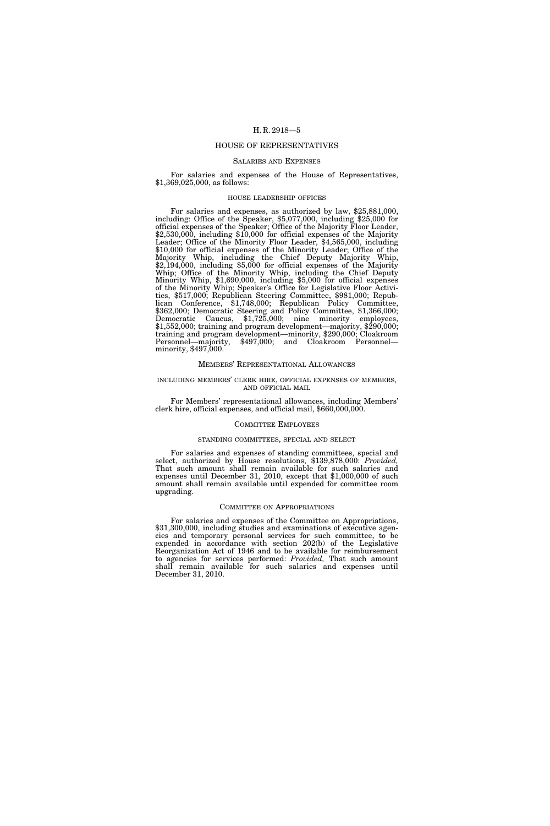# HOUSE OF REPRESENTATIVES

#### SALARIES AND EXPENSES

For salaries and expenses of the House of Representatives, \$1,369,025,000, as follows:

#### HOUSE LEADERSHIP OFFICES

For salaries and expenses, as authorized by law, \$25,881,000, including: Office of the Speaker, \$5,077,000, including \$25,000 for official expenses of the Speaker; Office of the Majority Floor Leader, \$2,530,000, including \$10,000 for official expenses of the Majority Leader; Office of the Minority Floor Leader, \$4,565,000, including \$10,000 for official expenses of the Minority Leader; Office of the Majority Whip, including the Chief Deputy Majority Whip, \$2,194,000, including \$5,000 for official expenses of the Majority Whip; Office of the Minority Whip, including the Chief Deputy Minority Whip, \$1,690,000, including \$5,000 for official expenses of the Minority Whip; Speaker's Office for Legislative Floor Activities, \$517,000; Republican Steering Committee, \$981,000; Republican Conference, \$1,748,000; Republican Policy Committee, \$362,000; Democratic Steering and Policy Committee, \$1,366,000; Democratic Caucus, \$1,725,000; nine minority employees, \$1,552,000; training and program development—majority, \$290,000; training and program development—minority, \$290,000; Cloakroom Personnel—majority, \$497,000; and Cloakroom Personnel minority, \$497,000.

#### MEMBERS' REPRESENTATIONAL ALLOWANCES

#### INCLUDING MEMBERS' CLERK HIRE, OFFICIAL EXPENSES OF MEMBERS, AND OFFICIAL MAIL

For Members' representational allowances, including Members' clerk hire, official expenses, and official mail, \$660,000,000.

# COMMITTEE EMPLOYEES

#### STANDING COMMITTEES, SPECIAL AND SELECT

For salaries and expenses of standing committees, special and select, authorized by House resolutions, \$139,878,000: *Provided,*  That such amount shall remain available for such salaries and expenses until December 31, 2010, except that \$1,000,000 of such amount shall remain available until expended for committee room upgrading.

#### COMMITTEE ON APPROPRIATIONS

For salaries and expenses of the Committee on Appropriations, \$31,300,000, including studies and examinations of executive agencies and temporary personal services for such committee, to be expended in accordance with section 202(b) of the Legislative Reorganization Act of 1946 and to be available for reimbursement to agencies for services performed: *Provided,* That such amount shall remain available for such salaries and expenses until December 31, 2010.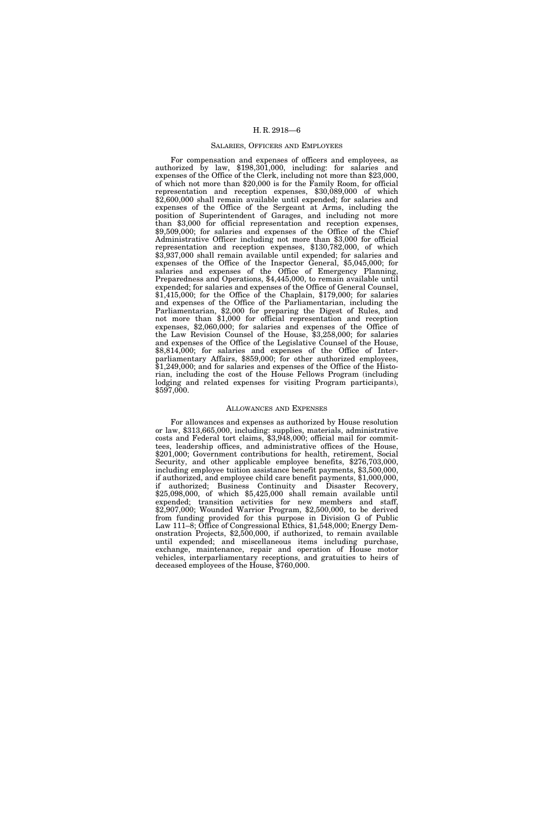#### SALARIES, OFFICERS AND EMPLOYEES

For compensation and expenses of officers and employees, as authorized by law, \$198,301,000, including: for salaries and expenses of the Office of the Clerk, including not more than \$23,000, of which not more than \$20,000 is for the Family Room, for official representation and reception expenses, \$30,089,000 of which \$2,600,000 shall remain available until expended; for salaries and expenses of the Office of the Sergeant at Arms, including the position of Superintendent of Garages, and including not more than \$3,000 for official representation and reception expenses, \$9,509,000; for salaries and expenses of the Office of the Chief Administrative Officer including not more than \$3,000 for official representation and reception expenses, \$130,782,000, of which \$3,937,000 shall remain available until expended; for salaries and expenses of the Office of the Inspector General, \$5,045,000; for salaries and expenses of the Office of Emergency Planning, Preparedness and Operations, \$4,445,000, to remain available until expended; for salaries and expenses of the Office of General Counsel, \$1,415,000; for the Office of the Chaplain, \$179,000; for salaries and expenses of the Office of the Parliamentarian, including the Parliamentarian, \$2,000 for preparing the Digest of Rules, and not more than \$1,000 for official representation and reception expenses, \$2,060,000; for salaries and expenses of the Office of the Law Revision Counsel of the House, \$3,258,000; for salaries and expenses of the Office of the Legislative Counsel of the House, \$8,814,000; for salaries and expenses of the Office of Interparliamentary Affairs, \$859,000; for other authorized employees, \$1,249,000; and for salaries and expenses of the Office of the Historian, including the cost of the House Fellows Program (including lodging and related expenses for visiting Program participants), \$597,000.

## ALLOWANCES AND EXPENSES

For allowances and expenses as authorized by House resolution or law, \$313,665,000, including: supplies, materials, administrative costs and Federal tort claims, \$3,948,000; official mail for committees, leadership offices, and administrative offices of the House, \$201,000; Government contributions for health, retirement, Social Security, and other applicable employee benefits, \$276,703,000, including employee tuition assistance benefit payments, \$3,500,000, if authorized, and employee child care benefit payments, \$1,000,000, if authorized; Business Continuity and Disaster Recovery, \$25,098,000, of which \$5,425,000 shall remain available until expended; transition activities for new members and staff, \$2,907,000; Wounded Warrior Program, \$2,500,000, to be derived from funding provided for this purpose in Division G of Public Law 111–8; Office of Congressional Ethics, \$1,548,000; Energy Demonstration Projects, \$2,500,000, if authorized, to remain available until expended; and miscellaneous items including purchase, exchange, maintenance, repair and operation of House motor vehicles, interparliamentary receptions, and gratuities to heirs of deceased employees of the House, \$760,000.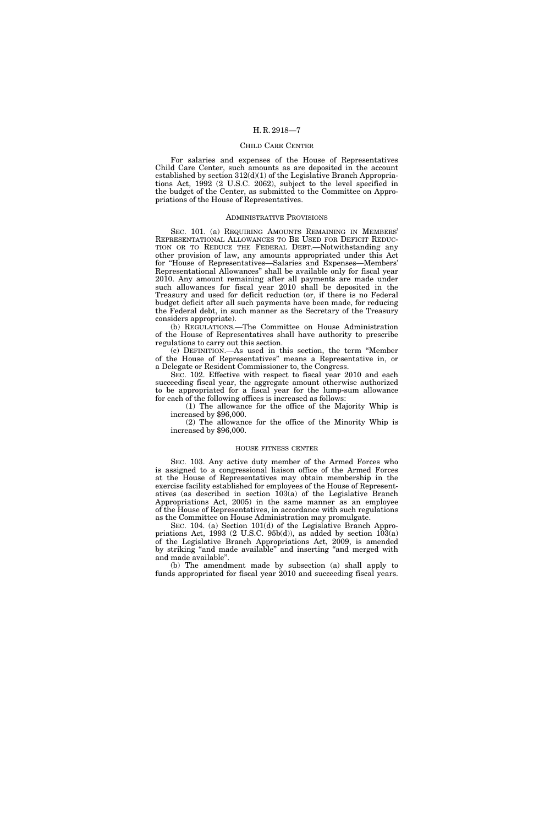#### CHILD CARE CENTER

For salaries and expenses of the House of Representatives Child Care Center, such amounts as are deposited in the account established by section 312(d)(1) of the Legislative Branch Appropriations Act, 1992 (2 U.S.C. 2062), subject to the level specified in the budget of the Center, as submitted to the Committee on Appropriations of the House of Representatives.

#### ADMINISTRATIVE PROVISIONS

SEC. 101. (a) REQUIRING AMOUNTS REMAINING IN MEMBERS' REPRESENTATIONAL ALLOWANCES TO BE USED FOR DEFICIT REDUC-TION OR TO REDUCE THE FEDERAL DEBT.—Notwithstanding any other provision of law, any amounts appropriated under this Act for ''House of Representatives—Salaries and Expenses—Members' Representational Allowances'' shall be available only for fiscal year 2010. Any amount remaining after all payments are made under such allowances for fiscal year 2010 shall be deposited in the Treasury and used for deficit reduction (or, if there is no Federal budget deficit after all such payments have been made, for reducing the Federal debt, in such manner as the Secretary of the Treasury considers appropriate).

(b) REGULATIONS.—The Committee on House Administration of the House of Representatives shall have authority to prescribe regulations to carry out this section.

(c) DEFINITION.—As used in this section, the term ''Member of the House of Representatives'' means a Representative in, or a Delegate or Resident Commissioner to, the Congress.

SEC. 102. Effective with respect to fiscal year 2010 and each succeeding fiscal year, the aggregate amount otherwise authorized to be appropriated for a fiscal year for the lump-sum allowance for each of the following offices is increased as follows:

(1) The allowance for the office of the Majority Whip is increased by \$96,000.

(2) The allowance for the office of the Minority Whip is increased by \$96,000.

#### HOUSE FITNESS CENTER

SEC. 103. Any active duty member of the Armed Forces who is assigned to a congressional liaison office of the Armed Forces at the House of Representatives may obtain membership in the exercise facility established for employees of the House of Representatives (as described in section 103(a) of the Legislative Branch Appropriations Act, 2005) in the same manner as an employee of the House of Representatives, in accordance with such regulations as the Committee on House Administration may promulgate.

SEC. 104. (a) Section 101(d) of the Legislative Branch Appropriations Act, 1993  $(2 \text{ U.S.C. } 95b(d))$ , as added by section  $103(a)$ of the Legislative Branch Appropriations Act, 2009, is amended by striking ''and made available'' and inserting ''and merged with and made available''.

(b) The amendment made by subsection (a) shall apply to funds appropriated for fiscal year 2010 and succeeding fiscal years.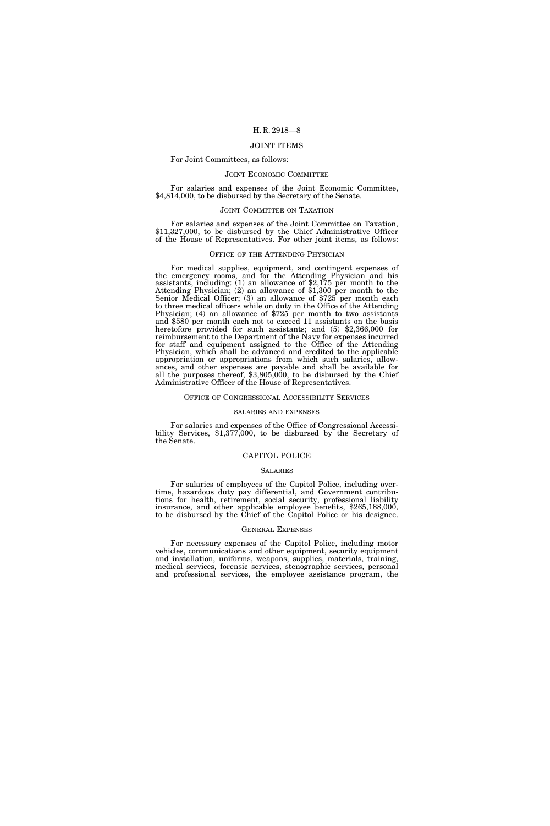# JOINT ITEMS

## For Joint Committees, as follows:

#### JOINT ECONOMIC COMMITTEE

For salaries and expenses of the Joint Economic Committee, \$4,814,000, to be disbursed by the Secretary of the Senate.

#### JOINT COMMITTEE ON TAXATION

For salaries and expenses of the Joint Committee on Taxation, \$11,327,000, to be disbursed by the Chief Administrative Officer of the House of Representatives. For other joint items, as follows:

# OFFICE OF THE ATTENDING PHYSICIAN

For medical supplies, equipment, and contingent expenses of the emergency rooms, and for the Attending Physician and his assistants, including: (1) an allowance of \$2,175 per month to the Attending Physician; (2) an allowance of \$1,300 per month to the Senior Medical Officer; (3) an allowance of \$725 per month each to three medical officers while on duty in the Office of the Attending Physician; (4) an allowance of \$725 per month to two assistants and \$580 per month each not to exceed 11 assistants on the basis heretofore provided for such assistants; and (5) \$2,366,000 for reimbursement to the Department of the Navy for expenses incurred for staff and equipment assigned to the Office of the Attending Physician, which shall be advanced and credited to the applicable appropriation or appropriations from which such salaries, allowances, and other expenses are payable and shall be available for all the purposes thereof, \$3,805,000, to be disbursed by the Chief Administrative Officer of the House of Representatives.

#### OFFICE OF CONGRESSIONAL ACCESSIBILITY SERVICES

#### SALARIES AND EXPENSES

For salaries and expenses of the Office of Congressional Accessibility Services, \$1,377,000, to be disbursed by the Secretary of the Senate.

#### CAPITOL POLICE

#### SALARIES

For salaries of employees of the Capitol Police, including overtime, hazardous duty pay differential, and Government contributions for health, retirement, social security, professional liability insurance, and other applicable employee benefits, \$265,188,000, to be disbursed by the Chief of the Capitol Police or his designee.

#### GENERAL EXPENSES

For necessary expenses of the Capitol Police, including motor vehicles, communications and other equipment, security equipment and installation, uniforms, weapons, supplies, materials, training, medical services, forensic services, stenographic services, personal and professional services, the employee assistance program, the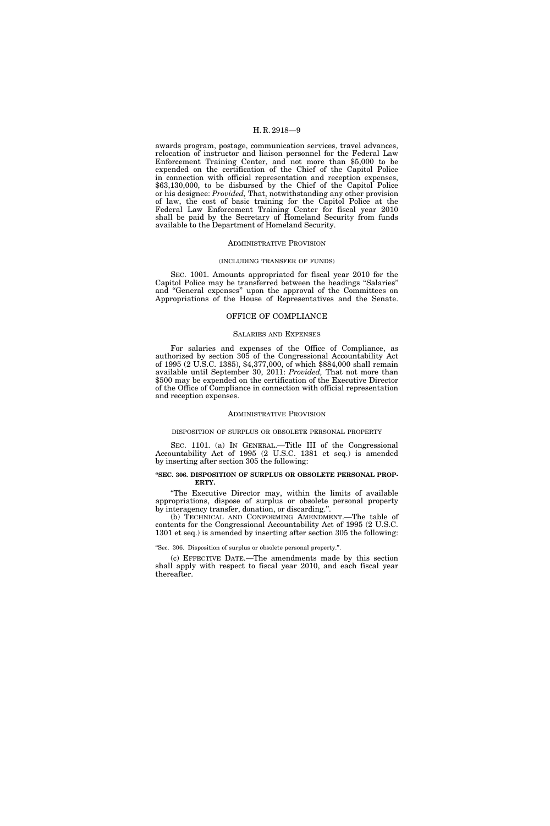awards program, postage, communication services, travel advances, relocation of instructor and liaison personnel for the Federal Law Enforcement Training Center, and not more than \$5,000 to be expended on the certification of the Chief of the Capitol Police in connection with official representation and reception expenses, \$63,130,000, to be disbursed by the Chief of the Capitol Police or his designee: *Provided,* That, notwithstanding any other provision of law, the cost of basic training for the Capitol Police at the Federal Law Enforcement Training Center for fiscal year 2010 shall be paid by the Secretary of Homeland Security from funds available to the Department of Homeland Security.

#### ADMINISTRATIVE PROVISION

#### (INCLUDING TRANSFER OF FUNDS)

SEC. 1001. Amounts appropriated for fiscal year 2010 for the Capitol Police may be transferred between the headings ''Salaries'' and ''General expenses'' upon the approval of the Committees on Appropriations of the House of Representatives and the Senate.

#### OFFICE OF COMPLIANCE

#### SALARIES AND EXPENSES

For salaries and expenses of the Office of Compliance, as authorized by section 305 of the Congressional Accountability Act of 1995 (2 U.S.C. 1385), \$4,377,000, of which \$884,000 shall remain available until September 30, 2011: *Provided,* That not more than \$500 may be expended on the certification of the Executive Director of the Office of Compliance in connection with official representation and reception expenses.

#### ADMINISTRATIVE PROVISION

# DISPOSITION OF SURPLUS OR OBSOLETE PERSONAL PROPERTY

SEC. 1101. (a) IN GENERAL.—Title III of the Congressional Accountability Act of 1995 (2 U.S.C. 1381 et seq.) is amended by inserting after section 305 the following:

#### **''SEC. 306. DISPOSITION OF SURPLUS OR OBSOLETE PERSONAL PROP-ERTY.**

''The Executive Director may, within the limits of available appropriations, dispose of surplus or obsolete personal property by interagency transfer, donation, or discarding.''.

(b) TECHNICAL AND CONFORMING AMENDMENT.—The table of contents for the Congressional Accountability Act of 1995 (2 U.S.C. 1301 et seq.) is amended by inserting after section 305 the following:

''Sec. 306. Disposition of surplus or obsolete personal property.''.

(c) EFFECTIVE DATE.—The amendments made by this section shall apply with respect to fiscal year 2010, and each fiscal year thereafter.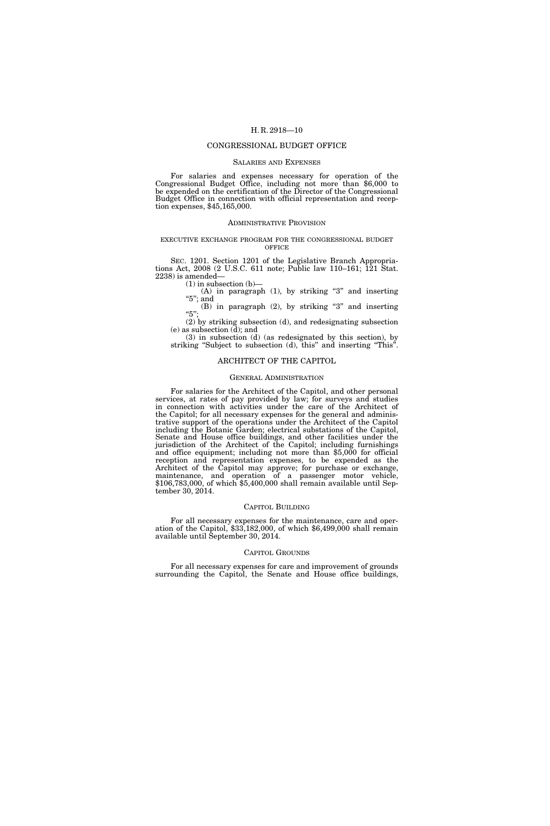# CONGRESSIONAL BUDGET OFFICE

#### SALARIES AND EXPENSES

For salaries and expenses necessary for operation of the Congressional Budget Office, including not more than \$6,000 to be expended on the certification of the Director of the Congressional Budget Office in connection with official representation and reception expenses, \$45,165,000.

## ADMINISTRATIVE PROVISION

# EXECUTIVE EXCHANGE PROGRAM FOR THE CONGRESSIONAL BUDGET **OFFICE**

SEC. 1201. Section 1201 of the Legislative Branch Appropriations Act, 2008 (2 U.S.C. 611 note; Public law 110–161; 121 Stat. 2238) is amended—

 $(1)$  in subsection  $(b)$ —

 $(A)$  in paragraph  $(1)$ , by striking "3" and inserting "5"; and (B) in paragraph (2), by striking ''3'' and inserting

''5''; (2) by striking subsection (d), and redesignating subsection

(e) as subsection  $(\bar{d})$ ; and (3) in subsection (d) (as redesignated by this section), by

striking "Subject to subsection (d), this" and inserting "This".

# ARCHITECT OF THE CAPITOL

# GENERAL ADMINISTRATION

For salaries for the Architect of the Capitol, and other personal services, at rates of pay provided by law; for surveys and studies in connection with activities under the care of the Architect of the Capitol; for all necessary expenses for the general and administrative support of the operations under the Architect of the Capitol including the Botanic Garden; electrical substations of the Capitol, Senate and House office buildings, and other facilities under the jurisdiction of the Architect of the Capitol; including furnishings and office equipment; including not more than \$5,000 for official reception and representation expenses, to be expended as the Architect of the Capitol may approve; for purchase or exchange, maintenance, and operation of a passenger motor vehicle, \$106,783,000, of which \$5,400,000 shall remain available until September 30, 2014.

# CAPITOL BUILDING

For all necessary expenses for the maintenance, care and operation of the Capitol, \$33,182,000, of which \$6,499,000 shall remain available until September 30, 2014.

#### CAPITOL GROUNDS

For all necessary expenses for care and improvement of grounds surrounding the Capitol, the Senate and House office buildings,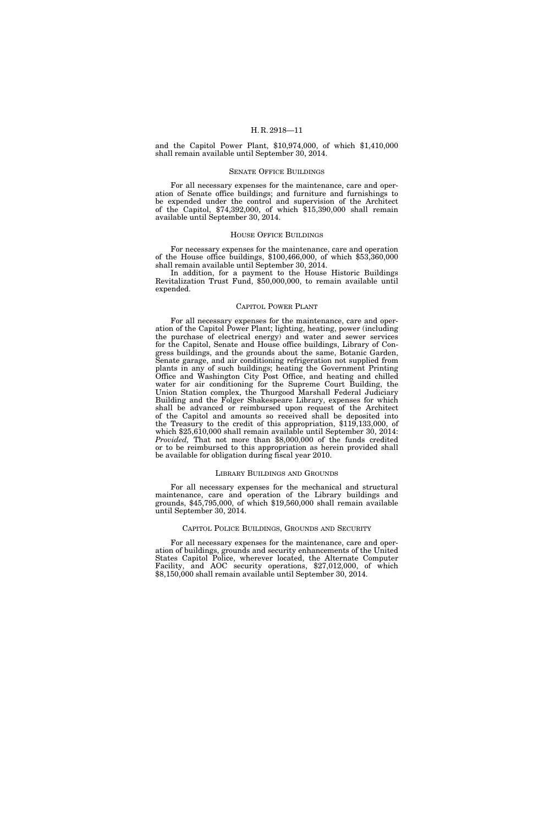and the Capitol Power Plant, \$10,974,000, of which \$1,410,000 shall remain available until September 30, 2014.

# SENATE OFFICE BUILDINGS

For all necessary expenses for the maintenance, care and operation of Senate office buildings; and furniture and furnishings to be expended under the control and supervision of the Architect of the Capitol, \$74,392,000, of which \$15,390,000 shall remain available until September 30, 2014.

# HOUSE OFFICE BUILDINGS

For necessary expenses for the maintenance, care and operation of the House office buildings, \$100,466,000, of which \$53,360,000 shall remain available until September 30, 2014.

In addition, for a payment to the House Historic Buildings Revitalization Trust Fund, \$50,000,000, to remain available until expended.

#### CAPITOL POWER PLANT

For all necessary expenses for the maintenance, care and operation of the Capitol Power Plant; lighting, heating, power (including the purchase of electrical energy) and water and sewer services for the Capitol, Senate and House office buildings, Library of Congress buildings, and the grounds about the same, Botanic Garden, Senate garage, and air conditioning refrigeration not supplied from plants in any of such buildings; heating the Government Printing Office and Washington City Post Office, and heating and chilled water for air conditioning for the Supreme Court Building, the Union Station complex, the Thurgood Marshall Federal Judiciary Building and the Folger Shakespeare Library, expenses for which shall be advanced or reimbursed upon request of the Architect of the Capitol and amounts so received shall be deposited into the Treasury to the credit of this appropriation, \$119,133,000, of which \$25,610,000 shall remain available until September 30, 2014: *Provided,* That not more than \$8,000,000 of the funds credited or to be reimbursed to this appropriation as herein provided shall be available for obligation during fiscal year 2010.

#### LIBRARY BUILDINGS AND GROUNDS

For all necessary expenses for the mechanical and structural maintenance, care and operation of the Library buildings and grounds, \$45,795,000, of which \$19,560,000 shall remain available until September 30, 2014.

# CAPITOL POLICE BUILDINGS, GROUNDS AND SECURITY

For all necessary expenses for the maintenance, care and operation of buildings, grounds and security enhancements of the United States Capitol Police, wherever located, the Alternate Computer Facility, and AOC security operations, \$27,012,000, of which \$8,150,000 shall remain available until September 30, 2014.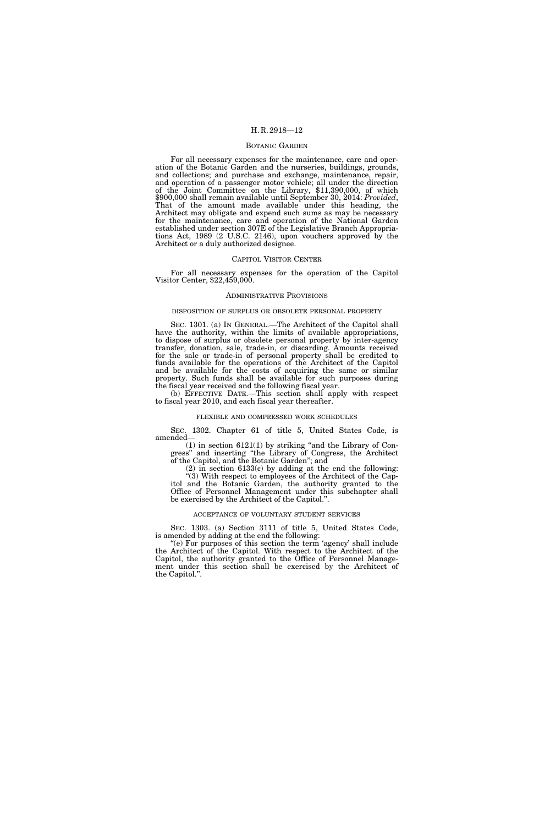#### BOTANIC GARDEN

For all necessary expenses for the maintenance, care and operation of the Botanic Garden and the nurseries, buildings, grounds, and collections; and purchase and exchange, maintenance, repair, and operation of a passenger motor vehicle; all under the direction of the Joint Committee on the Library, \$11,390,000, of which \$900,000 shall remain available until September 30, 2014: *Provided*, That of the amount made available under this heading, the Architect may obligate and expend such sums as may be necessary for the maintenance, care and operation of the National Garden established under section 307E of the Legislative Branch Appropriations Act, 1989 (2 U.S.C. 2146), upon vouchers approved by the Architect or a duly authorized designee.

# CAPITOL VISITOR CENTER

For all necessary expenses for the operation of the Capitol Visitor Center, \$22,459,000.

#### ADMINISTRATIVE PROVISIONS

# DISPOSITION OF SURPLUS OR OBSOLETE PERSONAL PROPERTY

SEC. 1301. (a) IN GENERAL.—The Architect of the Capitol shall have the authority, within the limits of available appropriations, to dispose of surplus or obsolete personal property by inter-agency transfer, donation, sale, trade-in, or discarding. Amounts received for the sale or trade-in of personal property shall be credited to funds available for the operations of the Architect of the Capitol and be available for the costs of acquiring the same or similar property. Such funds shall be available for such purposes during the fiscal year received and the following fiscal year.

(b) EFFECTIVE DATE.—This section shall apply with respect to fiscal year 2010, and each fiscal year thereafter.

#### FLEXIBLE AND COMPRESSED WORK SCHEDULES

SEC. 1302. Chapter 61 of title 5, United States Code, is amended—

 $(1)$  in section  $6121(1)$  by striking "and the Library of Congress'' and inserting ''the Library of Congress, the Architect of the Capitol, and the Botanic Garden''; and

(2) in section 6133(c) by adding at the end the following: ''(3) With respect to employees of the Architect of the Capitol and the Botanic Garden, the authority granted to the Office of Personnel Management under this subchapter shall be exercised by the Architect of the Capitol.''.

#### ACCEPTANCE OF VOLUNTARY STUDENT SERVICES

SEC. 1303. (a) Section 3111 of title 5, United States Code, is amended by adding at the end the following:

"(e) For purposes of this section the term 'agency' shall include the Architect of the Capitol. With respect to the Architect of the Capitol, the authority granted to the Office of Personnel Management under this section shall be exercised by the Architect of the Capitol.''.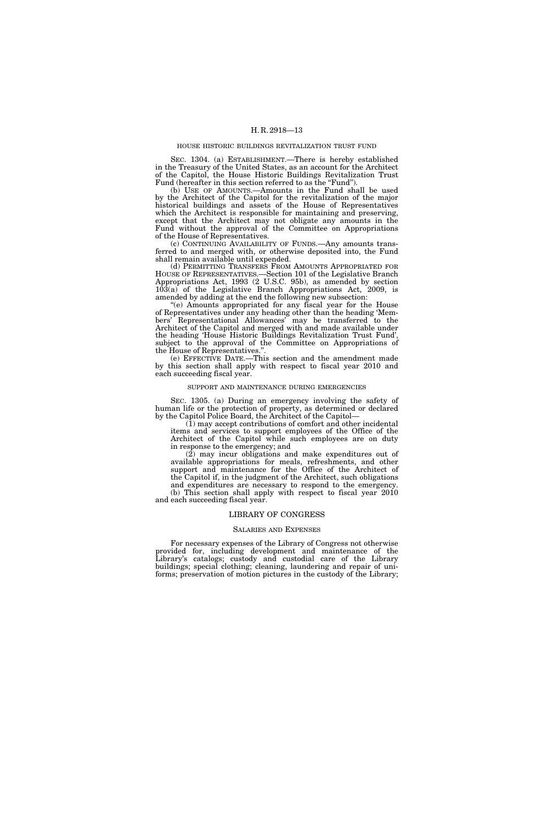#### HOUSE HISTORIC BUILDINGS REVITALIZATION TRUST FUND

SEC. 1304. (a) ESTABLISHMENT.—There is hereby established in the Treasury of the United States, as an account for the Architect of the Capitol, the House Historic Buildings Revitalization Trust Fund (hereafter in this section referred to as the "Fund").

(b) USE OF AMOUNTS.—Amounts in the Fund shall be used by the Architect of the Capitol for the revitalization of the major historical buildings and assets of the House of Representatives which the Architect is responsible for maintaining and preserving, except that the Architect may not obligate any amounts in the Fund without the approval of the Committee on Appropriations of the House of Representatives.

(c) CONTINUING AVAILABILITY OF FUNDS.—Any amounts transferred to and merged with, or otherwise deposited into, the Fund shall remain available until expended.

(d) PERMITTING TRANSFERS FROM AMOUNTS APPROPRIATED FOR HOUSE OF REPRESENTATIVES.—Section 101 of the Legislative Branch Appropriations Act, 1993 (2 U.S.C. 95b), as amended by section  $10\overline{3}(a)$  of the Legislative Branch Appropriations Act, 2009, is amended by adding at the end the following new subsection:

''(e) Amounts appropriated for any fiscal year for the House of Representatives under any heading other than the heading 'Members' Representational Allowances' may be transferred to the Architect of the Capitol and merged with and made available under the heading 'House Historic Buildings Revitalization Trust Fund', subject to the approval of the Committee on Appropriations of the House of Representatives.'

(e) EFFECTIVE DATE.—This section and the amendment made by this section shall apply with respect to fiscal year 2010 and each succeeding fiscal year.

#### SUPPORT AND MAINTENANCE DURING EMERGENCIES

SEC. 1305. (a) During an emergency involving the safety of human life or the protection of property, as determined or declared by the Capitol Police Board, the Architect of the Capitol—

(1) may accept contributions of comfort and other incidental items and services to support employees of the Office of the Architect of the Capitol while such employees are on duty in response to the emergency; and

(2) may incur obligations and make expenditures out of available appropriations for meals, refreshments, and other support and maintenance for the Office of the Architect of the Capitol if, in the judgment of the Architect, such obligations and expenditures are necessary to respond to the emergency.

(b) This section shall apply with respect to fiscal year 2010 and each succeeding fiscal year.

## LIBRARY OF CONGRESS

#### SALARIES AND EXPENSES

For necessary expenses of the Library of Congress not otherwise provided for, including development and maintenance of the Library's catalogs; custody and custodial care of the Library buildings; special clothing; cleaning, laundering and repair of uniforms; preservation of motion pictures in the custody of the Library;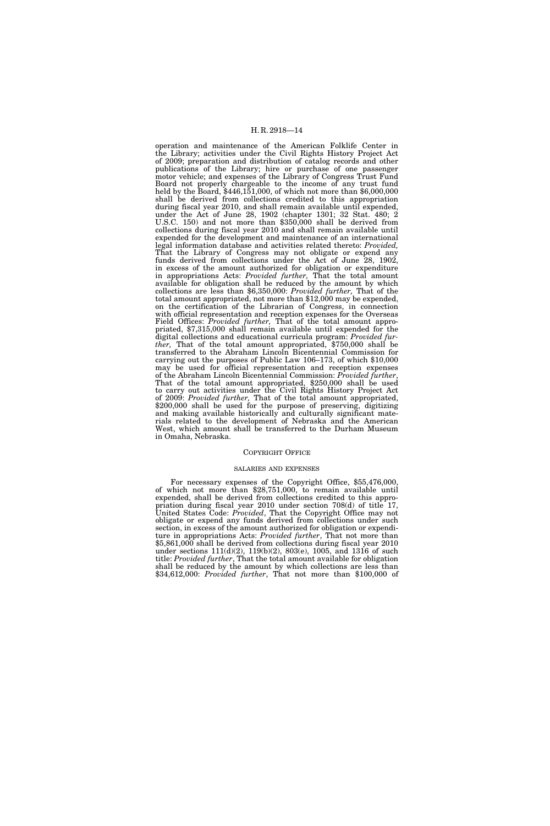operation and maintenance of the American Folklife Center in the Library; activities under the Civil Rights History Project Act of 2009; preparation and distribution of catalog records and other publications of the Library; hire or purchase of one passenger motor vehicle; and expenses of the Library of Congress Trust Fund Board not properly chargeable to the income of any trust fund held by the Board, \$446,151,000, of which not more than \$6,000,000 shall be derived from collections credited to this appropriation during fiscal year 2010, and shall remain available until expended, under the Act of June 28, 1902 (chapter 1301; 32 Stat. 480; 2 U.S.C. 150) and not more than \$350,000 shall be derived from collections during fiscal year 2010 and shall remain available until expended for the development and maintenance of an international legal information database and activities related thereto: *Provided,*  That the Library of Congress may not obligate or expend any funds derived from collections under the Act of June 28, 1902, in excess of the amount authorized for obligation or expenditure in appropriations Acts: *Provided further,* That the total amount available for obligation shall be reduced by the amount by which collections are less than \$6,350,000: *Provided further,* That of the total amount appropriated, not more than \$12,000 may be expended, on the certification of the Librarian of Congress, in connection with official representation and reception expenses for the Overseas Field Offices: *Provided further,* That of the total amount appropriated, \$7,315,000 shall remain available until expended for the digital collections and educational curricula program: *Provided further,* That of the total amount appropriated, \$750,000 shall be transferred to the Abraham Lincoln Bicentennial Commission for carrying out the purposes of Public Law 106–173, of which \$10,000 may be used for official representation and reception expenses of the Abraham Lincoln Bicentennial Commission: *Provided further*, of the Abraham Lincoln Bicentennial Commission: *Provided further*, That of the total amount appropriated, \$250,000 shall be used to carry out activities under the Civil Rights History Project Act of 2009: *Provided further,* That of the total amount appropriated, \$200,000 shall be used for the purpose of preserving, digitizing and making available historically and culturally significant materials related to the development of Nebraska and the American West, which amount shall be transferred to the Durham Museum in Omaha, Nebraska.

#### COPYRIGHT OFFICE

#### SALARIES AND EXPENSES

For necessary expenses of the Copyright Office, \$55,476,000, of which not more than \$28,751,000, to remain available until expended, shall be derived from collections credited to this appropriation during fiscal year 2010 under section 708(d) of title 17, United States Code: *Provided*, That the Copyright Office may not obligate or expend any funds derived from collections under such section, in excess of the amount authorized for obligation or expenditure in appropriations Acts: *Provided further*, That not more than \$5,861,000 shall be derived from collections during fiscal year 2010 under sections 111(d)(2), 119(b)(2), 803(e), 1005, and 1316 of such title: *Provided further*, That the total amount available for obligation shall be reduced by the amount by which collections are less than \$34,612,000: *Provided further*, That not more than \$100,000 of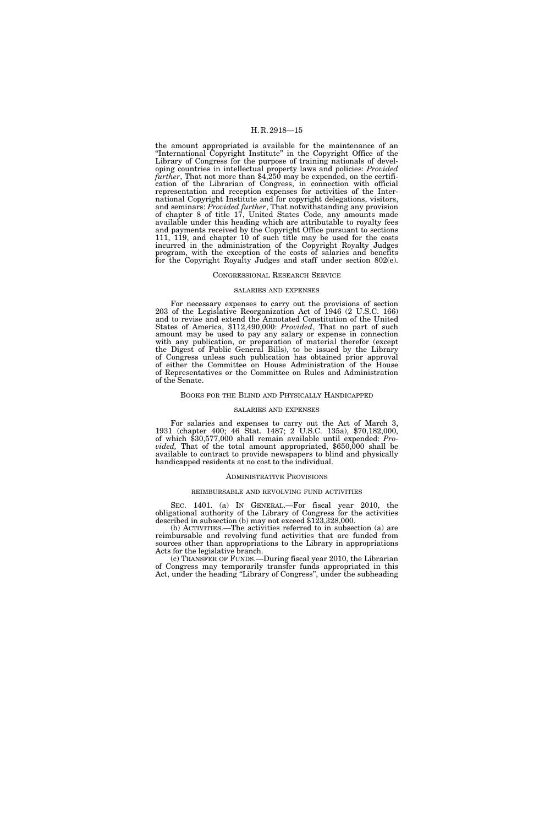the amount appropriated is available for the maintenance of an ''International Copyright Institute'' in the Copyright Office of the Library of Congress for the purpose of training nationals of developing countries in intellectual property laws and policies: *Provided further*, That not more than \$4,250 may be expended, on the certification of the Librarian of Congress, in connection with official representation and reception expenses for activities of the International Copyright Institute and for copyright delegations, visitors, and seminars: *Provided further*, That notwithstanding any provision of chapter 8 of title 17, United States Code, any amounts made available under this heading which are attributable to royalty fees and payments received by the Copyright Office pursuant to sections 111, 119, and chapter 10 of such title may be used for the costs incurred in the administration of the Copyright Royalty Judges program, with the exception of the costs of salaries and benefits for the Copyright Royalty Judges and staff under section 802(e).

# CONGRESSIONAL RESEARCH SERVICE

#### SALARIES AND EXPENSES

For necessary expenses to carry out the provisions of section 203 of the Legislative Reorganization Act of 1946 (2 U.S.C. 166) and to revise and extend the Annotated Constitution of the United States of America, \$112,490,000: *Provided*, That no part of such amount may be used to pay any salary or expense in connection with any publication, or preparation of material therefor (except the Digest of Public General Bills), to be issued by the Library of Congress unless such publication has obtained prior approval of either the Committee on House Administration of the House of Representatives or the Committee on Rules and Administration of the Senate.

# BOOKS FOR THE BLIND AND PHYSICALLY HANDICAPPED

#### SALARIES AND EXPENSES

For salaries and expenses to carry out the Act of March 3, 1931 (chapter 400; 46 Stat. 1487; 2 U.S.C. 135a), \$70,182,000, of which \$30,577,000 shall remain available until expended: *Provided,* That of the total amount appropriated, \$650,000 shall be available to contract to provide newspapers to blind and physically handicapped residents at no cost to the individual.

#### ADMINISTRATIVE PROVISIONS

#### REIMBURSABLE AND REVOLVING FUND ACTIVITIES

SEC. 1401. (a) IN GENERAL.—For fiscal year 2010, the obligational authority of the Library of Congress for the activities described in subsection (b) may not exceed \$123,328,000.

(b) ACTIVITIES.—The activities referred to in subsection (a) are reimbursable and revolving fund activities that are funded from sources other than appropriations to the Library in appropriations Acts for the legislative branch.

(c) TRANSFER OF FUNDS.—During fiscal year 2010, the Librarian of Congress may temporarily transfer funds appropriated in this Act, under the heading ''Library of Congress'', under the subheading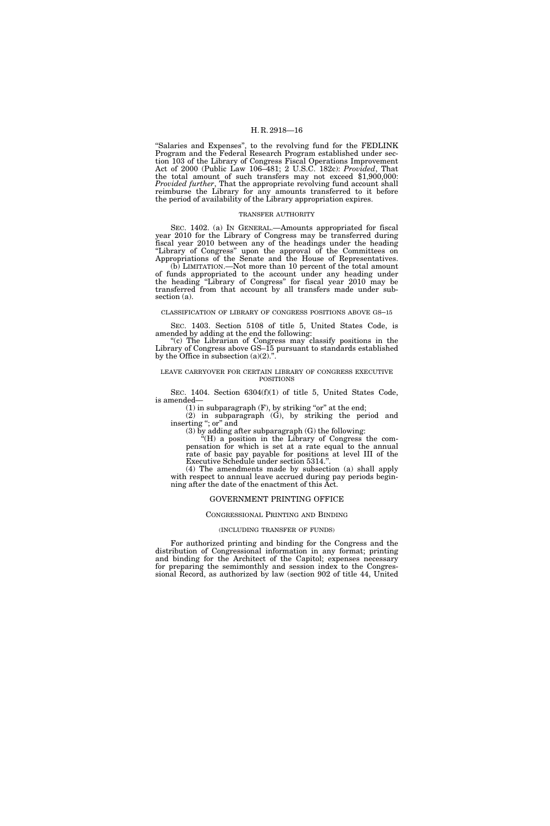''Salaries and Expenses'', to the revolving fund for the FEDLINK Program and the Federal Research Program established under section 103 of the Library of Congress Fiscal Operations Improvement Act of 2000 (Public Law 106–481; 2 U.S.C. 182c): *Provided*, That the total amount of such transfers may not exceed \$1,900,000: *Provided further*, That the appropriate revolving fund account shall reimburse the Library for any amounts transferred to it before the period of availability of the Library appropriation expires.

# TRANSFER AUTHORITY

SEC. 1402. (a) IN GENERAL.—Amounts appropriated for fiscal year 2010 for the Library of Congress may be transferred during fiscal year 2010 between any of the headings under the heading "Library of Congress" upon the approval of the Committees on Appropriations of the Senate and the House of Representatives.

(b) LIMITATION.—Not more than 10 percent of the total amount of funds appropriated to the account under any heading under the heading ''Library of Congress'' for fiscal year 2010 may be transferred from that account by all transfers made under subsection (a).

# CLASSIFICATION OF LIBRARY OF CONGRESS POSITIONS ABOVE GS–15

SEC. 1403. Section 5108 of title 5, United States Code, is amended by adding at the end the following:

"(c) The Librarian of Congress may classify positions in the Library of Congress above GS–15 pursuant to standards established by the Office in subsection  $(a)(2)$ .".

# LEAVE CARRYOVER FOR CERTAIN LIBRARY OF CONGRESS EXECUTIVE POSITIONS

SEC. 1404. Section 6304(f)(1) of title 5, United States Code, is amended—

 $(1)$  in subparagraph  $(F)$ , by striking "or" at the end;

 $(2)$  in subparagraph  $(G)$ , by striking the period and inserting "; or" and

(3) by adding after subparagraph (G) the following:

''(H) a position in the Library of Congress the compensation for which is set at a rate equal to the annual rate of basic pay payable for positions at level III of the Executive Schedule under section 5314."

(4) The amendments made by subsection (a) shall apply with respect to annual leave accrued during pay periods beginning after the date of the enactment of this Act.

# GOVERNMENT PRINTING OFFICE

# CONGRESSIONAL PRINTING AND BINDING

# (INCLUDING TRANSFER OF FUNDS)

For authorized printing and binding for the Congress and the distribution of Congressional information in any format; printing and binding for the Architect of the Capitol; expenses necessary for preparing the semimonthly and session index to the Congressional Record, as authorized by law (section 902 of title 44, United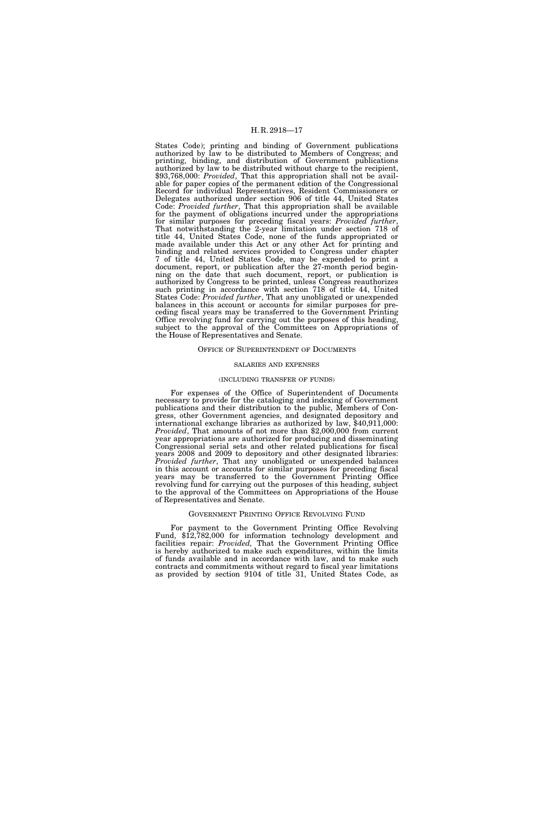States Code); printing and binding of Government publications authorized by law to be distributed to Members of Congress; and printing, binding, and distribution of Government publications authorized by law to be distributed without charge to the recipient, \$93,768,000: *Provided*, That this appropriation shall not be available for paper copies of the permanent edition of the Congressional Record for individual Representatives, Resident Commissioners or Delegates authorized under section 906 of title 44, United States Code: *Provided further*, That this appropriation shall be available for the payment of obligations incurred under the appropriations for similar purposes for preceding fiscal years: *Provided further*, That notwithstanding the 2-year limitation under section 718 of title 44, United States Code, none of the funds appropriated or made available under this Act or any other Act for printing and binding and related services provided to Congress under chapter 7 of title 44, United States Code, may be expended to print a document, report, or publication after the 27-month period beginning on the date that such document, report, or publication is authorized by Congress to be printed, unless Congress reauthorizes such printing in accordance with section 718 of title 44, United States Code: *Provided further*, That any unobligated or unexpended balances in this account or accounts for similar purposes for preceding fiscal years may be transferred to the Government Printing Office revolving fund for carrying out the purposes of this heading, subject to the approval of the Committees on Appropriations of the House of Representatives and Senate.

# OFFICE OF SUPERINTENDENT OF DOCUMENTS

#### SALARIES AND EXPENSES

# (INCLUDING TRANSFER OF FUNDS)

For expenses of the Office of Superintendent of Documents necessary to provide for the cataloging and indexing of Government publications and their distribution to the public, Members of Congress, other Government agencies, and designated depository and international exchange libraries as authorized by law, \$40,911,000: *Provided*, That amounts of not more than \$2,000,000 from current year appropriations are authorized for producing and disseminating Congressional serial sets and other related publications for fiscal years 2008 and 2009 to depository and other designated libraries: *Provided further*, That any unobligated or unexpended balances in this account or accounts for similar purposes for preceding fiscal years may be transferred to the Government Printing Office revolving fund for carrying out the purposes of this heading, subject to the approval of the Committees on Appropriations of the House of Representatives and Senate.

## GOVERNMENT PRINTING OFFICE REVOLVING FUND

For payment to the Government Printing Office Revolving Fund, \$12,782,000 for information technology development and facilities repair: *Provided,* That the Government Printing Office is hereby authorized to make such expenditures, within the limits of funds available and in accordance with law, and to make such contracts and commitments without regard to fiscal year limitations as provided by section 9104 of title 31, United States Code, as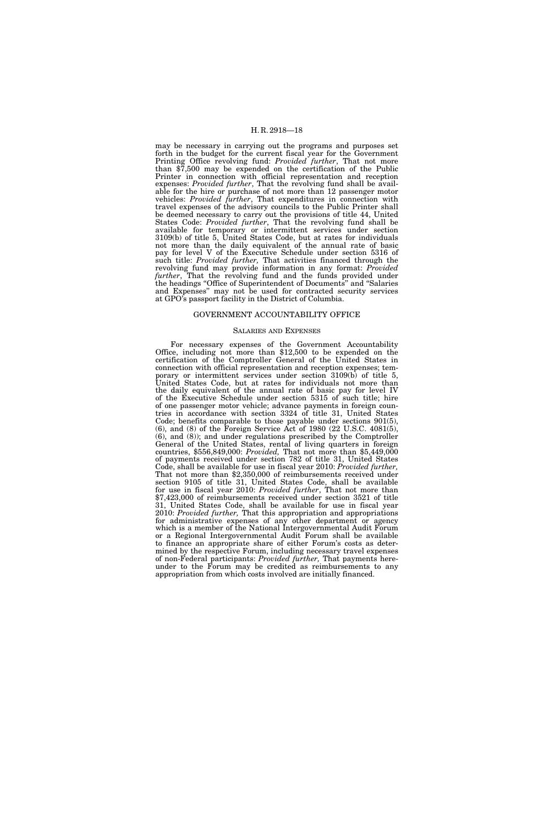may be necessary in carrying out the programs and purposes set forth in the budget for the current fiscal year for the Government Printing Office revolving fund: *Provided further*, That not more than \$7,500 may be expended on the certification of the Public Printer in connection with official representation and reception expenses: *Provided further*, That the revolving fund shall be available for the hire or purchase of not more than 12 passenger motor vehicles: *Provided further*, That expenditures in connection with travel expenses of the advisory councils to the Public Printer shall be deemed necessary to carry out the provisions of title 44, United States Code: *Provided further*, That the revolving fund shall be available for temporary or intermittent services under section 3109(b) of title 5, United States Code, but at rates for individuals not more than the daily equivalent of the annual rate of basic pay for level V of the Executive Schedule under section 5316 of such title: *Provided further,* That activities financed through the revolving fund may provide information in any format: *Provided further*, That the revolving fund and the funds provided under the headings ''Office of Superintendent of Documents'' and ''Salaries and Expenses'' may not be used for contracted security services at GPO's passport facility in the District of Columbia.

# GOVERNMENT ACCOUNTABILITY OFFICE

# SALARIES AND EXPENSES

For necessary expenses of the Government Accountability Office, including not more than \$12,500 to be expended on the certification of the Comptroller General of the United States in connection with official representation and reception expenses; temporary or intermittent services under section 3109(b) of title 5, United States Code, but at rates for individuals not more than the daily equivalent of the annual rate of basic pay for level IV of the Executive Schedule under section 5315 of such title; hire of one passenger motor vehicle; advance payments in foreign countries in accordance with section 3324 of title 31, United States Code; benefits comparable to those payable under sections 901(5), (6), and (8) of the Foreign Service Act of 1980 (22 U.S.C. 4081(5), (6), and (8)); and under regulations prescribed by the Comptroller General of the United States, rental of living quarters in foreign countries, \$556,849,000: *Provided,* That not more than \$5,449,000 of payments received under section 782 of title 31, United States Code, shall be available for use in fiscal year 2010: Provided further, Code, shall be available for use in fiscal year 2010: *Provided further,* That not more than \$2,350,000 of reimbursements received under section 9105 of title 31, United States Code, shall be available for use in fiscal year 2010: *Provided further*, That not more than \$7,423,000 of reimbursements received under section 3521 of title 31, United States Code, shall be available for use in fiscal year 2010: *Provided further,* That this appropriation and appropriations for administrative expenses of any other department or agency which is a member of the National Intergovernmental Audit Forum or a Regional Intergovernmental Audit Forum shall be available to finance an appropriate share of either Forum's costs as determined by the respective Forum, including necessary travel expenses of non-Federal participants: *Provided further,* That payments hereunder to the Forum may be credited as reimbursements to any appropriation from which costs involved are initially financed.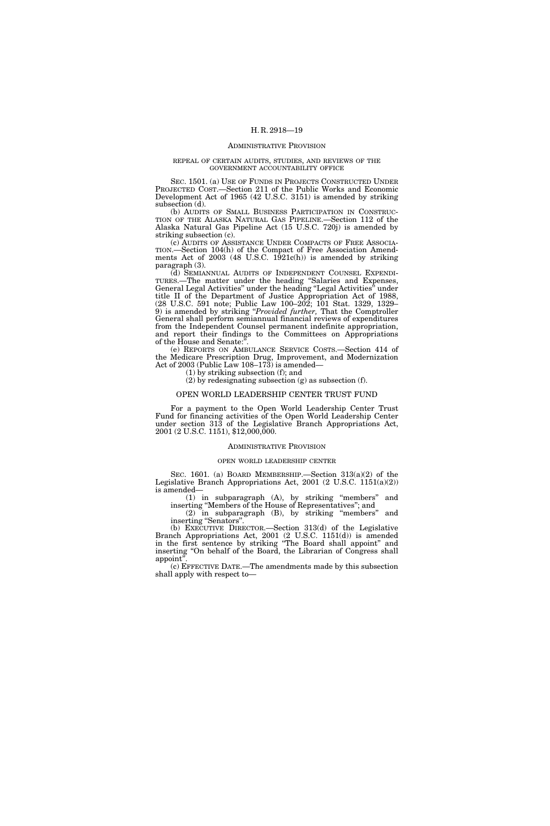#### ADMINISTRATIVE PROVISION

#### REPEAL OF CERTAIN AUDITS, STUDIES, AND REVIEWS OF THE GOVERNMENT ACCOUNTABILITY OFFICE

SEC. 1501. (a) USE OF FUNDS IN PROJECTS CONSTRUCTED UNDER PROJECTED COST.—Section 211 of the Public Works and Economic Development Act of 1965 (42 U.S.C. 3151) is amended by striking subsection (d).

(b) AUDITS OF SMALL BUSINESS PARTICIPATION IN CONSTRUC- TION OF THE ALASKA NATURAL GAS PIPELINE.—Section 112 of the Alaska Natural Gas Pipeline Act (15 U.S.C. 720j) is amended by striking subsection (c).

(c) AUDITS OF ASSISTANCE UNDER COMPACTS OF FREE ASSOCIA-TION.—Section 104(h) of the Compact of Free Association Amendments Act of  $2003$  (48 U.S.C.  $1921c(h)$ ) is amended by striking paragraph (3).

(d) SEMIANNUAL AUDITS OF INDEPENDENT COUNSEL EXPENDI-TURES.—The matter under the heading ''Salaries and Expenses, General Legal Activities'' under the heading ''Legal Activities'' under title II of the Department of Justice Appropriation Act of 1988, (28 U.S.C. 591 note; Public Law 100–202; 101 Stat. 1329, 1329– 9) is amended by striking ''*Provided further,* That the Comptroller General shall perform semiannual financial reviews of expenditures from the Independent Counsel permanent indefinite appropriation, and report their findings to the Committees on Appropriations of the House and Senate:".

(e) REPORTS ON AMBULANCE SERVICE COSTS.—Section 414 of the Medicare Prescription Drug, Improvement, and Modernization Act of 2003 (Public Law 108–173) is amended—

(1) by striking subsection (f); and

(2) by redesignating subsection (g) as subsection (f).

# OPEN WORLD LEADERSHIP CENTER TRUST FUND

For a payment to the Open World Leadership Center Trust Fund for financing activities of the Open World Leadership Center under section 313 of the Legislative Branch Appropriations Act, 2001 (2 U.S.C. 1151), \$12,000,000.

#### ADMINISTRATIVE PROVISION

#### OPEN WORLD LEADERSHIP CENTER

SEC. 1601. (a) BOARD MEMBERSHIP.—Section 313(a)(2) of the Legislative Branch Appropriations Act, 2001 (2 U.S.C. 1151(a)(2)) is amended—

(1) in subparagraph (A), by striking ''members'' and inserting ''Members of the House of Representatives''; and

(2) in subparagraph (B), by striking ''members'' and inserting "Senators".

(b) EXECUTIVE DIRECTOR.—Section 313(d) of the Legislative Branch Appropriations Act, 2001 (2 U.S.C. 1151(d)) is amended in the first sentence by striking ''The Board shall appoint'' and inserting ''On behalf of the Board, the Librarian of Congress shall appoint'

(c) EFFECTIVE DATE.—The amendments made by this subsection shall apply with respect to—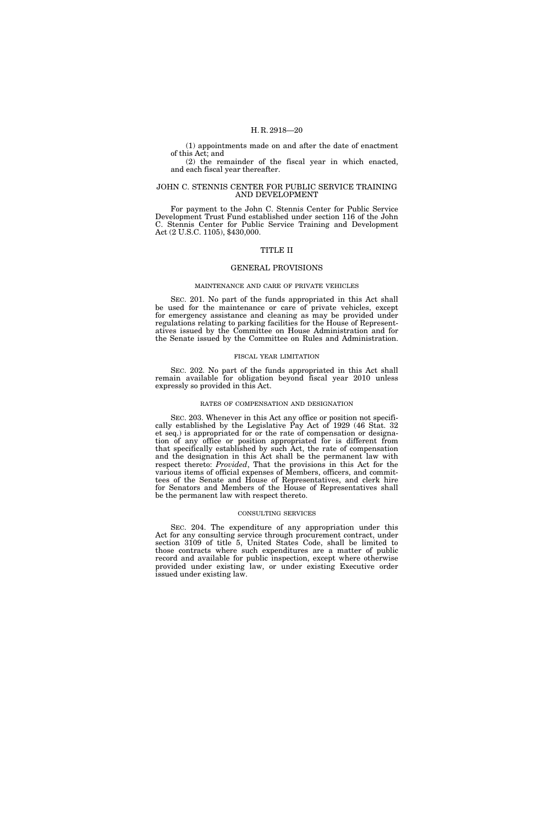(1) appointments made on and after the date of enactment of this Act; and

(2) the remainder of the fiscal year in which enacted, and each fiscal year thereafter.

# JOHN C. STENNIS CENTER FOR PUBLIC SERVICE TRAINING AND DEVELOPMENT

For payment to the John C. Stennis Center for Public Service Development Trust Fund established under section 116 of the John C. Stennis Center for Public Service Training and Development Act (2 U.S.C. 1105), \$430,000.

# TITLE II

#### GENERAL PROVISIONS

#### MAINTENANCE AND CARE OF PRIVATE VEHICLES

SEC. 201. No part of the funds appropriated in this Act shall be used for the maintenance or care of private vehicles, except for emergency assistance and cleaning as may be provided under regulations relating to parking facilities for the House of Representatives issued by the Committee on House Administration and for the Senate issued by the Committee on Rules and Administration.

# FISCAL YEAR LIMITATION

SEC. 202. No part of the funds appropriated in this Act shall remain available for obligation beyond fiscal year 2010 unless expressly so provided in this Act.

#### RATES OF COMPENSATION AND DESIGNATION

SEC. 203. Whenever in this Act any office or position not specifically established by the Legislative Pay Act of 1929 (46 Stat. 32 et seq.) is appropriated for or the rate of compensation or designation of any office or position appropriated for is different from that specifically established by such Act, the rate of compensation and the designation in this Act shall be the permanent law with respect thereto: *Provided*, That the provisions in this Act for the various items of official expenses of Members, officers, and committees of the Senate and House of Representatives, and clerk hire for Senators and Members of the House of Representatives shall be the permanent law with respect thereto.

#### CONSULTING SERVICES

SEC. 204. The expenditure of any appropriation under this Act for any consulting service through procurement contract, under section 3109 of title 5, United States Code, shall be limited to those contracts where such expenditures are a matter of public record and available for public inspection, except where otherwise provided under existing law, or under existing Executive order issued under existing law.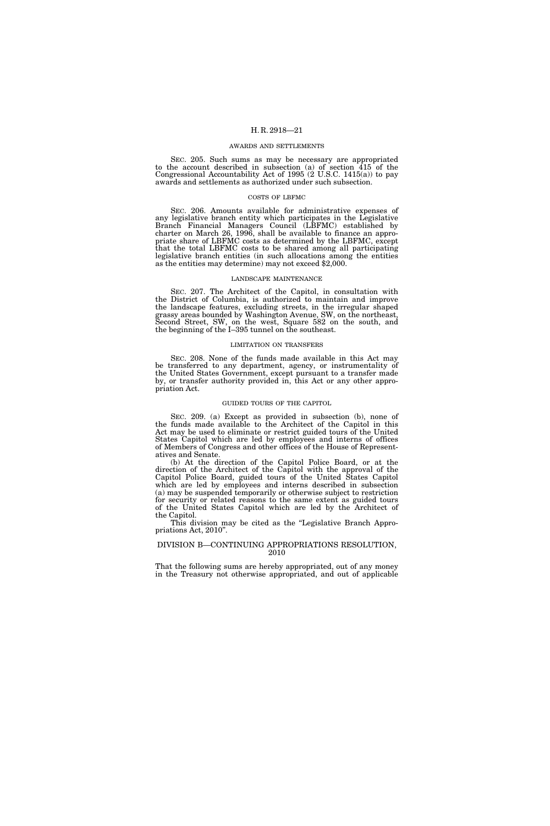#### AWARDS AND SETTLEMENTS

SEC. 205. Such sums as may be necessary are appropriated to the account described in subsection (a) of section 415 of the Congressional Accountability Act of 1995 (2 U.S.C. 1415(a)) to pay awards and settlements as authorized under such subsection.

## COSTS OF LBFMC

SEC. 206. Amounts available for administrative expenses of any legislative branch entity which participates in the Legislative Branch Financial Managers Council (LBFMC) established by charter on March 26, 1996, shall be available to finance an appropriate share of LBFMC costs as determined by the LBFMC, except that the total LBFMC costs to be shared among all participating legislative branch entities (in such allocations among the entities as the entities may determine) may not exceed \$2,000.

#### LANDSCAPE MAINTENANCE

SEC. 207. The Architect of the Capitol, in consultation with the District of Columbia, is authorized to maintain and improve the landscape features, excluding streets, in the irregular shaped grassy areas bounded by Washington Avenue, SW, on the northeast, Second Street, SW, on the west, Square 582 on the south, and the beginning of the I–395 tunnel on the southeast.

## LIMITATION ON TRANSFERS

SEC. 208. None of the funds made available in this Act may be transferred to any department, agency, or instrumentality of the United States Government, except pursuant to a transfer made by, or transfer authority provided in, this Act or any other appropriation Act.

# GUIDED TOURS OF THE CAPITOL

SEC. 209. (a) Except as provided in subsection (b), none of the funds made available to the Architect of the Capitol in this Act may be used to eliminate or restrict guided tours of the United States Capitol which are led by employees and interns of offices of Members of Congress and other offices of the House of Representatives and Senate.

(b) At the direction of the Capitol Police Board, or at the direction of the Architect of the Capitol with the approval of the Capitol Police Board, guided tours of the United States Capitol which are led by employees and interns described in subsection (a) may be suspended temporarily or otherwise subject to restriction for security or related reasons to the same extent as guided tours of the United States Capitol which are led by the Architect of the Capitol.

This division may be cited as the "Legislative Branch Appropriations Act, 2010''.

#### DIVISION B—CONTINUING APPROPRIATIONS RESOLUTION, 2010

That the following sums are hereby appropriated, out of any money in the Treasury not otherwise appropriated, and out of applicable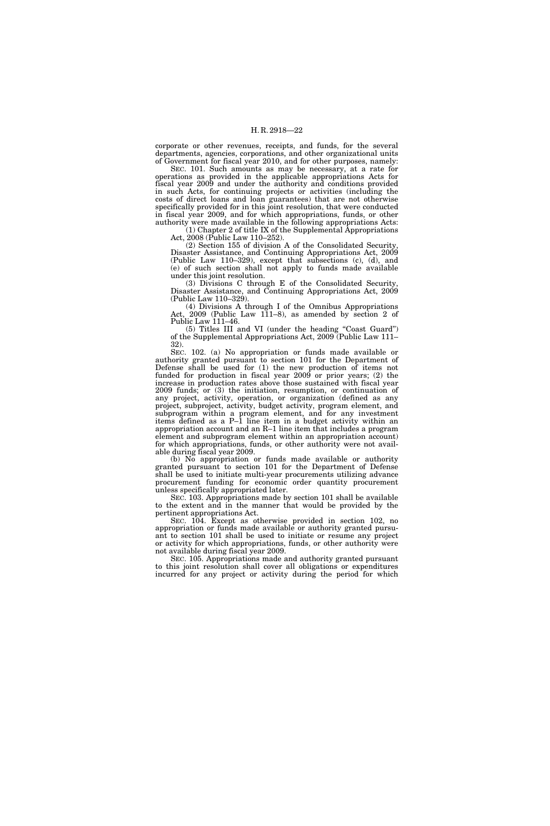corporate or other revenues, receipts, and funds, for the several departments, agencies, corporations, and other organizational units of Government for fiscal year 2010, and for other purposes, namely:

SEC. 101. Such amounts as may be necessary, at a rate for operations as provided in the applicable appropriations Acts for fiscal year 2009 and under the authority and conditions provided in such Acts, for continuing projects or activities (including the costs of direct loans and loan guarantees) that are not otherwise specifically provided for in this joint resolution, that were conducted in fiscal year 2009, and for which appropriations, funds, or other authority were made available in the following appropriations Acts:  $(1)$  Chapter 2 of title IX of the Supplemental Appropriations

Act, 2008 (Public Law 110–252).

(2) Section 155 of division A of the Consolidated Security, Disaster Assistance, and Continuing Appropriations Act, 2009 (Public Law 110–329), except that subsections (c), (d), and (e) of such section shall not apply to funds made available under this joint resolution.

(3) Divisions C through E of the Consolidated Security, Disaster Assistance, and Continuing Appropriations Act, 2009 (Public Law 110–329).

(4) Divisions A through I of the Omnibus Appropriations Act, 2009 (Public Law 111–8), as amended by section 2 of Public Law 111–46.

(5) Titles III and VI (under the heading ''Coast Guard'') of the Supplemental Appropriations Act, 2009 (Public Law 111– 32).

SEC. 102. (a) No appropriation or funds made available or authority granted pursuant to section 101 for the Department of Defense shall be used for (1) the new production of items not funded for production in fiscal year 2009 or prior years; (2) the increase in production rates above those sustained with fiscal year 2009 funds; or (3) the initiation, resumption, or continuation of any project, activity, operation, or organization (defined as any project, subproject, activity, budget activity, program element, and subprogram within a program element, and for any investment items defined as a P–1 line item in a budget activity within an appropriation account and an R–1 line item that includes a program element and subprogram element within an appropriation account) for which appropriations, funds, or other authority were not available during fiscal year 2009.

(b) No appropriation or funds made available or authority granted pursuant to section 101 for the Department of Defense shall be used to initiate multi-year procurements utilizing advance procurement funding for economic order quantity procurement unless specifically appropriated later.

SEC. 103. Appropriations made by section 101 shall be available to the extent and in the manner that would be provided by the pertinent appropriations Act.

SEC. 104. Except as otherwise provided in section 102, no appropriation or funds made available or authority granted pursuant to section 101 shall be used to initiate or resume any project or activity for which appropriations, funds, or other authority were not available during fiscal year 2009.

SEC. 105. Appropriations made and authority granted pursuant to this joint resolution shall cover all obligations or expenditures incurred for any project or activity during the period for which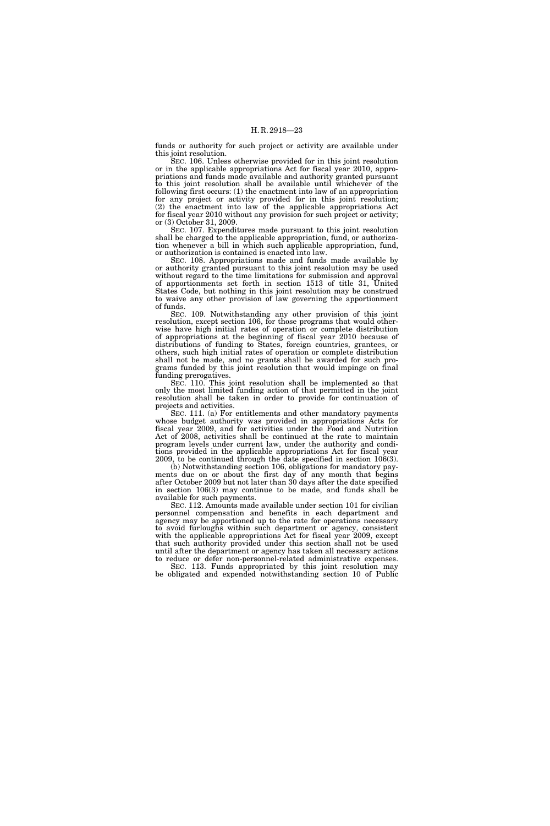funds or authority for such project or activity are available under this joint resolution.

SEC. 106. Unless otherwise provided for in this joint resolution or in the applicable appropriations Act for fiscal year 2010, appropriations and funds made available and authority granted pursuant to this joint resolution shall be available until whichever of the following first occurs: (1) the enactment into law of an appropriation for any project or activity provided for in this joint resolution; (2) the enactment into law of the applicable appropriations Act for fiscal year 2010 without any provision for such project or activity; or (3) October 31, 2009.

SEC. 107. Expenditures made pursuant to this joint resolution shall be charged to the applicable appropriation, fund, or authorization whenever a bill in which such applicable appropriation, fund, or authorization is contained is enacted into law.

SEC. 108. Appropriations made and funds made available by or authority granted pursuant to this joint resolution may be used without regard to the time limitations for submission and approval of apportionments set forth in section 1513 of title 31, United States Code, but nothing in this joint resolution may be construed to waive any other provision of law governing the apportionment of funds.

SEC. 109. Notwithstanding any other provision of this joint resolution, except section 106, for those programs that would otherwise have high initial rates of operation or complete distribution of appropriations at the beginning of fiscal year 2010 because of distributions of funding to States, foreign countries, grantees, or others, such high initial rates of operation or complete distribution shall not be made, and no grants shall be awarded for such programs funded by this joint resolution that would impinge on final funding prerogatives.

SEC. 110. This joint resolution shall be implemented so that only the most limited funding action of that permitted in the joint resolution shall be taken in order to provide for continuation of projects and activities.

SEC. 111. (a) For entitlements and other mandatory payments whose budget authority was provided in appropriations Acts for fiscal year 2009, and for activities under the Food and Nutrition Act of 2008, activities shall be continued at the rate to maintain program levels under current law, under the authority and conditions provided in the applicable appropriations Act for fiscal year 2009, to be continued through the date specified in section 106(3).

(b) Notwithstanding section 106, obligations for mandatory payments due on or about the first day of any month that begins after October 2009 but not later than 30 days after the date specified in section 106(3) may continue to be made, and funds shall be available for such payments.

SEC. 112. Amounts made available under section 101 for civilian personnel compensation and benefits in each department and agency may be apportioned up to the rate for operations necessary to avoid furloughs within such department or agency, consistent with the applicable appropriations Act for fiscal year 2009, except that such authority provided under this section shall not be used until after the department or agency has taken all necessary actions reduce or defer non-personnel-related administrative expenses. SEC. 113. Funds appropriated by this joint resolution may

be obligated and expended notwithstanding section 10 of Public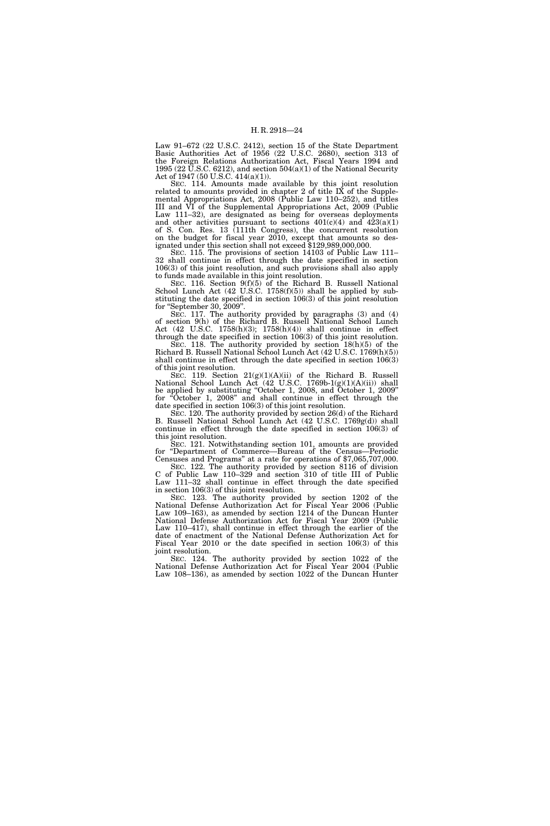Law 91–672 (22 U.S.C. 2412), section 15 of the State Department Basic Authorities Act of 1956 (22 U.S.C. 2680), section 313 of the Foreign Relations Authorization Act, Fiscal Years 1994 and 1995 (22 U.S.C. 6212), and section  $504(a)(1)$  of the National Security Act of 1947 (50 U.S.C. 414(a)(1)).

SEC. 114. Amounts made available by this joint resolution related to amounts provided in chapter 2 of title IX of the Supplemental Appropriations Act, 2008 (Public Law 110–252), and titles III and VI of the Supplemental Appropriations Act, 2009 (Public Law 111–32), are designated as being for overseas deployments and other activities pursuant to sections  $401(c)(4)$  and  $423(a)(1)$ of S. Con. Res. 13 (111th Congress), the concurrent resolution on the budget for fiscal year 2010, except that amounts so designated under this section shall not exceed \$129,989,000,000.

SEC. 115. The provisions of section 14103 of Public Law 111– 32 shall continue in effect through the date specified in section 106(3) of this joint resolution, and such provisions shall also apply to funds made available in this joint resolution.

SEC. 116. Section 9(f)(5) of the Richard B. Russell National School Lunch Act (42 U.S.C. 1758(f)(5)) shall be applied by substituting the date specified in section  $106(3)$  of this joint resolution for "September 30, 2009". "September 30, 2009".

SEC. 117. The authority provided by paragraphs (3) and (4) of section 9(h) of the Richard B. Russell National School Lunch Act (42 U.S.C. 1758(h)(3); 1758(h)(4)) shall continue in effect through the date specified in section 106(3) of this joint resolution.

SEC. 118. The authority provided by section 18(h)(5) of the Richard B. Russell National School Lunch Act (42 U.S.C. 1769(h)(5)) shall continue in effect through the date specified in section 106(3) of this joint resolution.

SEC. 119. Section 21(g)(1)(A)(ii) of the Richard B. Russell National School Lunch Act (42 U.S.C. 1769b-1(g)(1)(A)(ii)) shall be applied by substituting ''October 1, 2008, and October 1, 2009'' for ''October 1, 2008'' and shall continue in effect through the date specified in section 106(3) of this joint resolution.

SEC. 120. The authority provided by section 26(d) of the Richard B. Russell National School Lunch Act (42 U.S.C. 1769g(d)) shall continue in effect through the date specified in section 106(3) of this joint resolution.

SEC. 121. Notwithstanding section 101, amounts are provided for ''Department of Commerce—Bureau of the Census—Periodic Censuses and Programs'' at a rate for operations of \$7,065,707,000.

SEC. 122. The authority provided by section 8116 of division C of Public Law 110–329 and section 310 of title III of Public Law 111–32 shall continue in effect through the date specified in section 106(3) of this joint resolution.

SEC. 123. The authority provided by section 1202 of the National Defense Authorization Act for Fiscal Year 2006 (Public Law 109–163), as amended by section 1214 of the Duncan Hunter National Defense Authorization Act for Fiscal Year 2009 (Public Law 110–417), shall continue in effect through the earlier of the date of enactment of the National Defense Authorization Act for Fiscal Year 2010 or the date specified in section 106(3) of this joint resolution.

SEC. 124. The authority provided by section 1022 of the National Defense Authorization Act for Fiscal Year 2004 (Public Law 108–136), as amended by section 1022 of the Duncan Hunter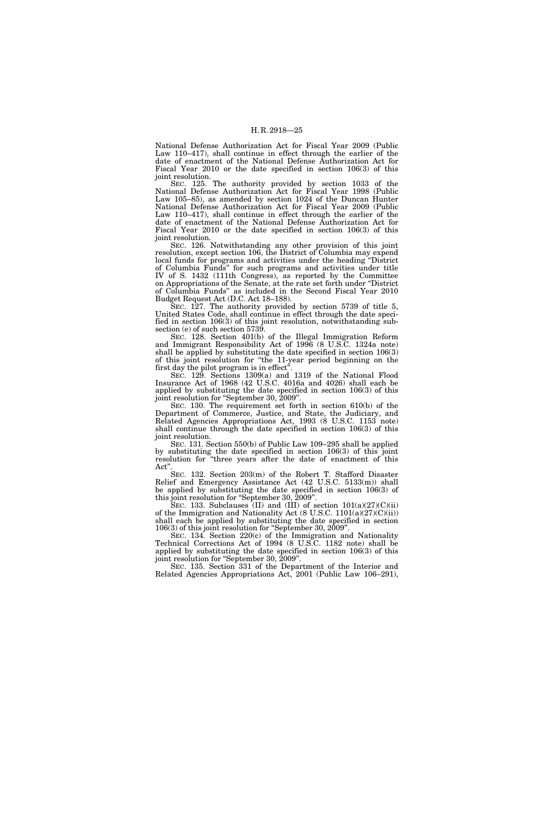National Defense Authorization Act for Fiscal Year 2009 (Public Law 110–417), shall continue in effect through the earlier of the date of enactment of the National Defense Authorization Act for Fiscal Year 2010 or the date specified in section 106(3) of this joint resolution.

SEC. 125. The authority provided by section 1033 of the National Defense Authorization Act for Fiscal Year 1998 (Public Law 105–85), as amended by section 1024 of the Duncan Hunter National Defense Authorization Act for Fiscal Year 2009 (Public Law 110–417), shall continue in effect through the earlier of the date of enactment of the National Defense Authorization Act for Fiscal Year 2010 or the date specified in section 106(3) of this joint resolution.

SEC. 126. Notwithstanding any other provision of this joint resolution, except section 106, the District of Columbia may expend local funds for programs and activities under the heading ''District of Columbia Funds'' for such programs and activities under title IV of S. 1432 (111th Congress), as reported by the Committee on Appropriations of the Senate, at the rate set forth under ''District of Columbia Funds'' as included in the Second Fiscal Year 2010 Budget Request Act (D.C. Act 18–188).

SEC. 127. The authority provided by section 5739 of title 5, United States Code, shall continue in effect through the date specified in section 106(3) of this joint resolution, notwithstanding subsection (e) of such section 5739.

SEC. 128. Section 401(b) of the Illegal Immigration Reform and Immigrant Responsibility Act of 1996 (8 U.S.C. 1324a note) shall be applied by substituting the date specified in section 106(3) of this joint resolution for ''the 11-year period beginning on the first day the pilot program is in effect<sup>3</sup>.

SEC. 129. Sections 1309(a) and 1319 of the National Flood Insurance Act of 1968 (42 U.S.C. 4016a and 4026) shall each be applied by substituting the date specified in section 106(3) of this joint resolution for "September 30, 2009".

SEC. 130. The requirement set forth in section 610(b) of the Department of Commerce, Justice, and State, the Judiciary, and Related Agencies Appropriations Act, 1993 (8 U.S.C. 1153 note) shall continue through the date specified in section 106(3) of this joint resolution.

SEC. 131. Section 550(b) of Public Law 109–295 shall be applied by substituting the date specified in section 106(3) of this joint resolution for ''three years after the date of enactment of this Act''.

SEC. 132. Section 203(m) of the Robert T. Stafford Disaster Relief and Emergency Assistance Act (42 U.S.C. 5133(m)) shall be applied by substituting the date specified in section 106(3) of this joint resolution for ''September 30, 2009''.

SEC. 133. Subclauses (II) and (III) of section  $101(a)(27)(C)(ii)$ of the Immigration and Nationality Act (8 U.S.C. 1101(a)(27)(C)(ii)) shall each be applied by substituting the date specified in section 106(3) of this joint resolution for ''September 30, 2009''.

SEC. 134. Section 220(c) of the Immigration and Nationality Technical Corrections Act of 1994 (8 U.S.C. 1182 note) shall be applied by substituting the date specified in section 106(3) of this joint resolution for "September 30, 2009".

SEC. 135. Section 331 of the Department of the Interior and Related Agencies Appropriations Act, 2001 (Public Law 106–291),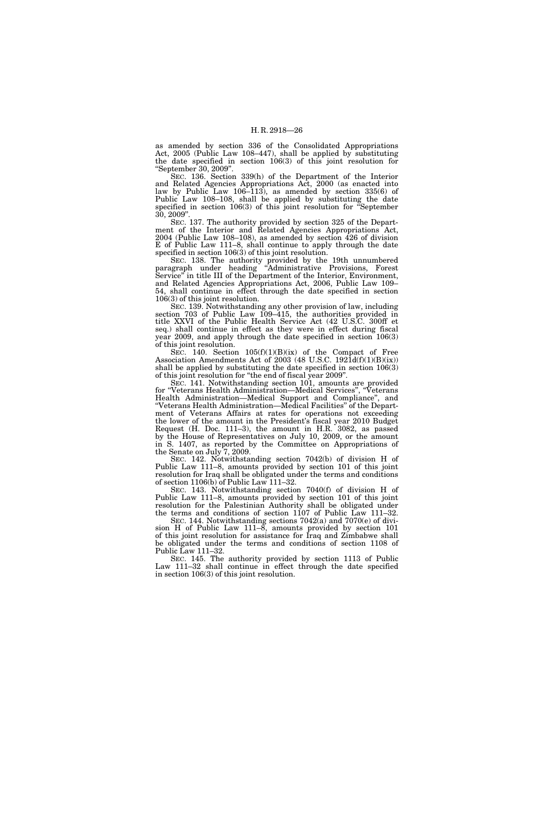as amended by section 336 of the Consolidated Appropriations Act, 2005 (Public Law 108–447), shall be applied by substituting the date specified in section 106(3) of this joint resolution for ''September 30, 2009''.

SEC. 136. Section 339(h) of the Department of the Interior and Related Agencies Appropriations Act, 2000 (as enacted into law by Public Law 106–113), as amended by section 335(6) of Public Law 108–108, shall be applied by substituting the date specified in section 106(3) of this joint resolution for ''September 30, 2009''.

SEC. 137. The authority provided by section 325 of the Department of the Interior and Related Agencies Appropriations Act, 2004 (Public Law 108–108), as amended by section 426 of division E of Public Law 111–8, shall continue to apply through the date specified in section 106(3) of this joint resolution.

SEC. 138. The authority provided by the 19th unnumbered paragraph under heading ''Administrative Provisions, Forest Service" in title III of the Department of the Interior, Environment, and Related Agencies Appropriations Act, 2006, Public Law 109– 54, shall continue in effect through the date specified in section 106(3) of this joint resolution.

SEC. 139. Notwithstanding any other provision of law, including section 703 of Public Law 109–415, the authorities provided in title XXVI of the Public Health Service Act (42 U.S.C. 300ff et seq.) shall continue in effect as they were in effect during fiscal year 2009, and apply through the date specified in section 106(3) of this joint resolution.

SEC. 140. Section  $105(f)(1)(B)(ix)$  of the Compact of Free Association Amendments Act of 2003 (48 U.S.C. 1921d(f)(1)(B)(ix)) shall be applied by substituting the date specified in section 106(3) of this joint resolution for ''the end of fiscal year 2009''.

SEC. 141. Notwithstanding section 101, amounts are provided for ''Veterans Health Administration—Medical Services'', ''Veterans Health Administration—Medical Support and Compliance'', and ''Veterans Health Administration—Medical Facilities'' of the Department of Veterans Affairs at rates for operations not exceeding the lower of the amount in the President's fiscal year 2010 Budget Request (H. Doc. 111–3), the amount in H.R. 3082, as passed by the House of Representatives on July 10, 2009, or the amount in S. 1407, as reported by the Committee on Appropriations of the Senate on July 7, 2009.

SEC. 142. Notwithstanding section 7042(b) of division H of Public Law 111–8, amounts provided by section 101 of this joint resolution for Iraq shall be obligated under the terms and conditions of section 1106(b) of Public Law 111–32.

SEC. 143. Notwithstanding section 7040(f) of division H of Public Law 111–8, amounts provided by section 101 of this joint resolution for the Palestinian Authority shall be obligated under the terms and conditions of section 1107 of Public Law 111–32.

SEC. 144. Notwithstanding sections 7042(a) and 7070(e) of division H of Public Law 111–8, amounts provided by section 101 of this joint resolution for assistance for Iraq and Zimbabwe shall be obligated under the terms and conditions of section 1108 of Public Law 111–32.

SEC. 145. The authority provided by section 1113 of Public Law 111–32 shall continue in effect through the date specified in section 106(3) of this joint resolution.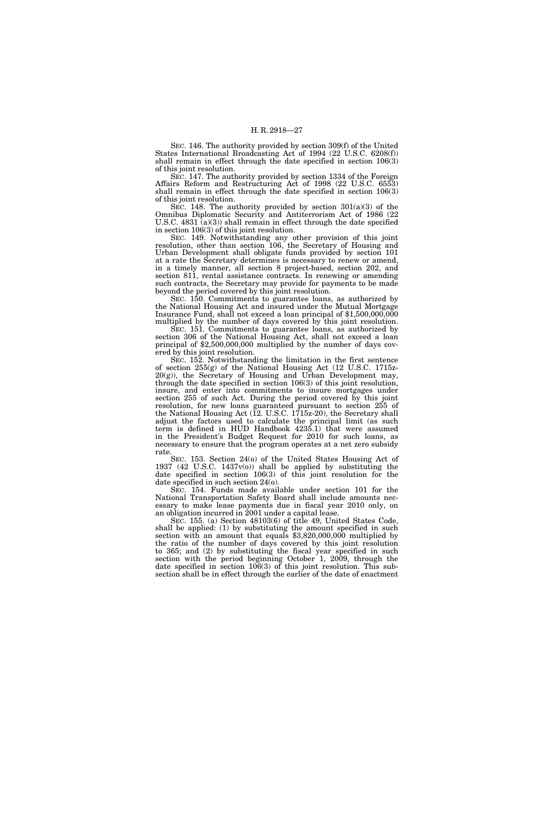SEC. 146. The authority provided by section 309(f) of the United States International Broadcasting Act of 1994 (22 U.S.C. 6208(f)) shall remain in effect through the date specified in section 106(3) of this joint resolution.

SEC. 147. The authority provided by section 1334 of the Foreign Affairs Reform and Restructuring Act of 1998 (22 U.S.C. 6553) shall remain in effect through the date specified in section 106(3) of this joint resolution.

SEC. 148. The authority provided by section 301(a)(3) of the Omnibus Diplomatic Security and Antiterrorism Act of 1986 (22 U.S.C.  $4831 \text{ (a)}(3)$  shall remain in effect through the date specified in section 106(3) of this joint resolution.

SEC. 149. Notwithstanding any other provision of this joint resolution, other than section 106, the Secretary of Housing and Urban Development shall obligate funds provided by section 101 at a rate the Secretary determines is necessary to renew or amend, in a timely manner, all section 8 project-based, section 202, and section 811, rental assistance contracts. In renewing or amending such contracts, the Secretary may provide for payments to be made beyond the period covered by this joint resolution.

SEC. 150. Commitments to guarantee loans, as authorized by the National Housing Act and insured under the Mutual Mortgage Insurance Fund, shall not exceed a loan principal of \$1,500,000,000 multiplied by the number of days covered by this joint resolution.

SEC. 151. Commitments to guarantee loans, as authorized by section 306 of the National Housing Act, shall not exceed a loan principal of \$2,500,000,000 multiplied by the number of days covered by this joint resolution.

SEC. 152. Notwithstanding the limitation in the first sentence of section 255(g) of the National Housing Act (12 U.S.C. 1715z-20(g)), the Secretary of Housing and Urban Development may, through the date specified in section 106(3) of this joint resolution, insure, and enter into commitments to insure mortgages under section 255 of such Act. During the period covered by this joint resolution, for new loans guaranteed pursuant to section 255 of the National Housing Act (12. U.S.C. 1715z-20), the Secretary shall adjust the factors used to calculate the principal limit (as such term is defined in HUD Handbook 4235.1) that were assumed in the President's Budget Request for 2010 for such loans, as necessary to ensure that the program operates at a net zero subsidy rate.

SEC. 153. Section 24(o) of the United States Housing Act of 1937 (42 U.S.C. 1437v(o)) shall be applied by substituting the date specified in section 106(3) of this joint resolution for the date specified in such section 24(o).

SEC. 154. Funds made available under section 101 for the National Transportation Safety Board shall include amounts necessary to make lease payments due in fiscal year 2010 only, on an obligation incurred in 2001 under a capital lease.

SEC. 155. (a) Section 48103(6) of title 49, United States Code, shall be applied: (1) by substituting the amount specified in such section with an amount that equals \$3,820,000,000 multiplied by the ratio of the number of days covered by this joint resolution to 365; and (2) by substituting the fiscal year specified in such section with the period beginning October 1, 2009, through the date specified in section 106(3) of this joint resolution. This subsection shall be in effect through the earlier of the date of enactment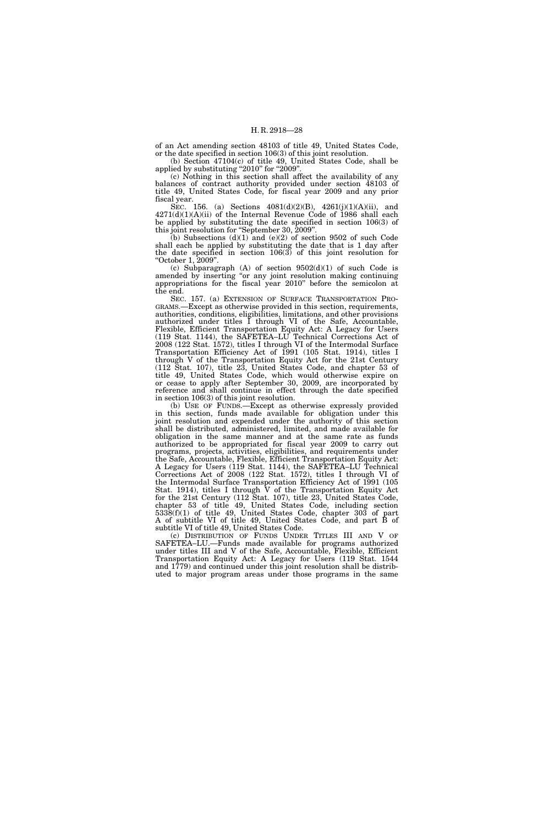of an Act amending section 48103 of title 49, United States Code, or the date specified in section 106(3) of this joint resolution.

(b) Section 47104(c) of title 49, United States Code, shall be applied by substituting "2010" for "2009".

(c) Nothing in this section shall affect the availability of any balances of contract authority provided under section 48103 of title 49, United States Code, for fiscal year 2009 and any prior fiscal year.

SEC. 156. (a) Sections 4081(d)(2)(B), 4261(j)(1)(A)(ii), and  $4271(d)(1)(A)(ii)$  of the Internal Revenue Code of 1986 shall each be applied by substituting the date specified in section 106(3) of this joint resolution for ''September 30, 2009''.

(b) Subsections  $(d)(1)$  and  $(e)(2)$  of section 9502 of such Code shall each be applied by substituting the date that is 1 day after the date specified in section  $106(3)$  of this joint resolution for ''October 1, 2009''.

(c) Subparagraph  $(A)$  of section  $9502(d)(1)$  of such Code is amended by inserting "or any joint resolution making continuing appropriations for the fiscal year 2010'' before the semicolon at the end.

SEC. 157. (a) EXTENSION OF SURFACE TRANSPORTATION PRO-GRAMS.—Except as otherwise provided in this section, requirements, authorities, conditions, eligibilities, limitations, and other provisions authorized under titles I through VI of the Safe, Accountable, Flexible, Efficient Transportation Equity Act: A Legacy for Users (119 Stat. 1144), the SAFETEA–LU Technical Corrections Act of 2008 (122 Stat. 1572), titles I through VI of the Intermodal Surface Transportation Efficiency Act of 1991 (105 Stat. 1914), titles I through V of the Transportation Equity Act for the 21st Century (112 Stat. 107), title 23, United States Code, and chapter 53 of title 49, United States Code, which would otherwise expire on or cease to apply after September 30, 2009, are incorporated by reference and shall continue in effect through the date specified in section 106(3) of this joint resolution.

(b) USE OF FUNDS.—Except as otherwise expressly provided in this section, funds made available for obligation under this joint resolution and expended under the authority of this section shall be distributed, administered, limited, and made available for obligation in the same manner and at the same rate as funds authorized to be appropriated for fiscal year 2009 to carry out programs, projects, activities, eligibilities, and requirements under the Safe, Accountable, Flexible, Efficient Transportation Equity Act: A Legacy for Users (119 Stat. 1144), the SAFETEA–LU Technical Corrections Act of 2008 (122 Stat. 1572), titles I through VI of the Intermodal Surface Transportation Efficiency Act of 1991 (105 Stat. 1914), titles I through V of the Transportation Equity Act for the 21st Century (112 Stat. 107), title 23, United States Code, chapter 53 of title 49, United States Code, including section 5338(f)(1) of title 49, United States Code, chapter 303 of part A of subtitle VI of title 49, United States Code, and part B of subtitle VI of title 49, United States Code.

(c) DISTRIBUTION OF FUNDS UNDER TITLES III AND V OF SAFETEA–LU.—Funds made available for programs authorized under titles III and V of the Safe, Accountable, Flexible, Efficient Transportation Equity Act: A Legacy for Users (119 Stat. 1544 and 1779) and continued under this joint resolution shall be distributed to major program areas under those programs in the same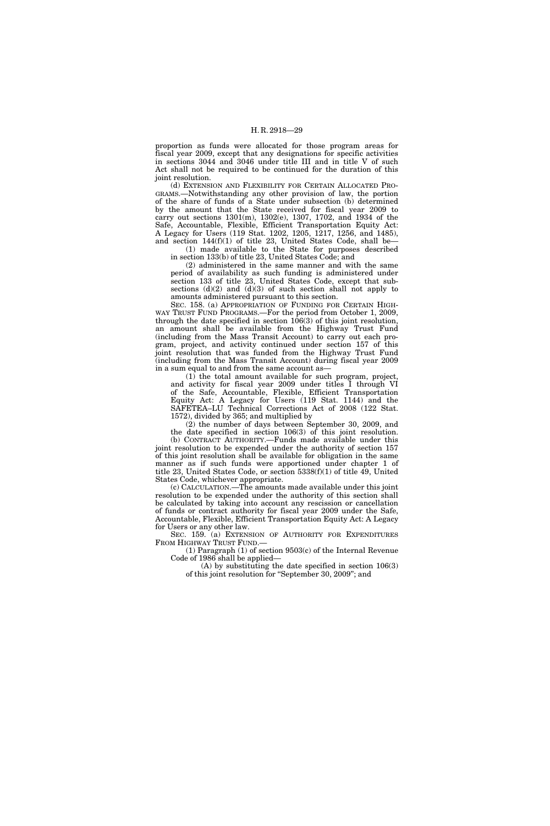proportion as funds were allocated for those program areas for fiscal year 2009, except that any designations for specific activities in sections 3044 and 3046 under title III and in title V of such Act shall not be required to be continued for the duration of this joint resolution.

(d) EXTENSION AND FLEXIBILITY FOR CERTAIN ALLOCATED PRO-GRAMS.—Notwithstanding any other provision of law, the portion of the share of funds of a State under subsection (b) determined by the amount that the State received for fiscal year 2009 to carry out sections 1301(m), 1302(e), 1307, 1702, and 1934 of the Safe, Accountable, Flexible, Efficient Transportation Equity Act: A Legacy for Users (119 Stat. 1202, 1205, 1217, 1256, and 1485), and section 144(f)(1) of title 23, United States Code, shall be—

(1) made available to the State for purposes described in section 133(b) of title 23, United States Code; and

(2) administered in the same manner and with the same period of availability as such funding is administered under section 133 of title 23, United States Code, except that subsections  $(d)(2)$  and  $(d)(3)$  of such section shall not apply to amounts administered pursuant to this section.

SEC. 158. (a) APPROPRIATION OF FUNDING FOR CERTAIN HIGH-WAY TRUST FUND PROGRAMS.—For the period from October 1, 2009, through the date specified in section  $106(3)$  of this joint resolution, an amount shall be available from the Highway Trust Fund (including from the Mass Transit Account) to carry out each program, project, and activity continued under section 157 of this joint resolution that was funded from the Highway Trust Fund (including from the Mass Transit Account) during fiscal year 2009 in a sum equal to and from the same account as—

(1) the total amount available for such program, project, and activity for fiscal year 2009 under titles I through VI of the Safe, Accountable, Flexible, Efficient Transportation Equity Act: A Legacy for Users (119 Stat. 1144) and the SAFETEA–LU Technical Corrections Act of 2008 (122 Stat. 1572), divided by 365; and multiplied by

(2) the number of days between September 30, 2009, and the date specified in section 106(3) of this joint resolution. (b) CONTRACT AUTHORITY.—Funds made available under this joint resolution to be expended under the authority of section 157 of this joint resolution shall be available for obligation in the same manner as if such funds were apportioned under chapter 1 of title 23, United States Code, or section 5338(f)(1) of title 49, United States Code, whichever appropriate.

(c) CALCULATION.—The amounts made available under this joint resolution to be expended under the authority of this section shall be calculated by taking into account any rescission or cancellation of funds or contract authority for fiscal year 2009 under the Safe, Accountable, Flexible, Efficient Transportation Equity Act: A Legacy for Users or any other law.

SEC. 159. (a) EXTENSION OF AUTHORITY FOR EXPENDITURES FROM HIGHWAY TRUST FUND.—

(1) Paragraph (1) of section 9503(c) of the Internal Revenue Code of 1986 shall be applied—

(A) by substituting the date specified in section 106(3) of this joint resolution for ''September 30, 2009''; and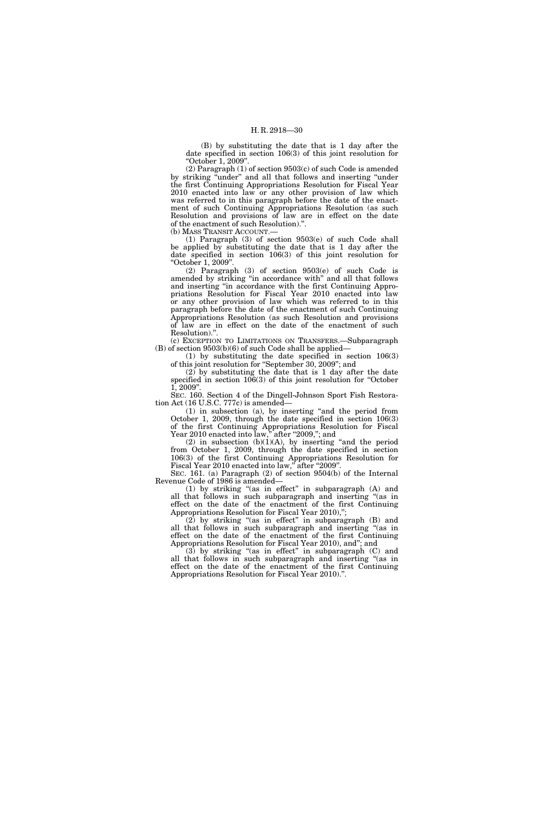(B) by substituting the date that is 1 day after the date specified in section 106(3) of this joint resolution for ''October 1, 2009''.

(2) Paragraph (1) of section 9503(c) of such Code is amended by striking "under" and all that follows and inserting "under the first Continuing Appropriations Resolution for Fiscal Year 2010 enacted into law or any other provision of law which was referred to in this paragraph before the date of the enactment of such Continuing Appropriations Resolution (as such Resolution and provisions of law are in effect on the date of the enactment of such Resolution).''.

(b) MASS TRANSIT ACCOUNT.—

(1) Paragraph (3) of section 9503(e) of such Code shall be applied by substituting the date that is 1 day after the date specified in section 106(3) of this joint resolution for ''October 1, 2009''.

(2) Paragraph (3) of section 9503(e) of such Code is amended by striking ''in accordance with'' and all that follows and inserting ''in accordance with the first Continuing Appropriations Resolution for Fiscal Year 2010 enacted into law or any other provision of law which was referred to in this paragraph before the date of the enactment of such Continuing Appropriations Resolution (as such Resolution and provisions of law are in effect on the date of the enactment of such Resolution).''.

(c) EXCEPTION TO LIMITATIONS ON TRANSFERS.—Subparagraph (B) of section 9503(b)(6) of such Code shall be applied—

(1) by substituting the date specified in section 106(3) of this joint resolution for ''September 30, 2009''; and

(2) by substituting the date that is 1 day after the date specified in section  $106(3)$  of this joint resolution for "October 1, 2009''.

SEC. 160. Section 4 of the Dingell-Johnson Sport Fish Restoration Act (16 U.S.C. 777c) is amended—

(1) in subsection (a), by inserting ''and the period from October 1, 2009, through the date specified in section 106(3) of the first Continuing Appropriations Resolution for Fiscal Year 2010 enacted into law," after "2009,"; and

 $(2)$  in subsection  $(b)(1)(A)$ , by inserting "and the period from October 1, 2009, through the date specified in section 106(3) of the first Continuing Appropriations Resolution for Fiscal Year 2010 enacted into law," after "2009".

SEC. 161. (a) Paragraph (2) of section 9504(b) of the Internal Revenue Code of 1986 is amended—

(1) by striking ''(as in effect'' in subparagraph (A) and all that follows in such subparagraph and inserting ''(as in effect on the date of the enactment of the first Continuing Appropriations Resolution for Fiscal Year 2010),";

 $(2)$  by striking "(as in effect" in subparagraph  $(B)$  and all that follows in such subparagraph and inserting "(as in effect on the date of the enactment of the first Continuing Appropriations Resolution for Fiscal Year 2010), and''; and

(3) by striking ''(as in effect'' in subparagraph (C) and all that follows in such subparagraph and inserting ''(as in effect on the date of the enactment of the first Continuing Appropriations Resolution for Fiscal Year 2010).''.